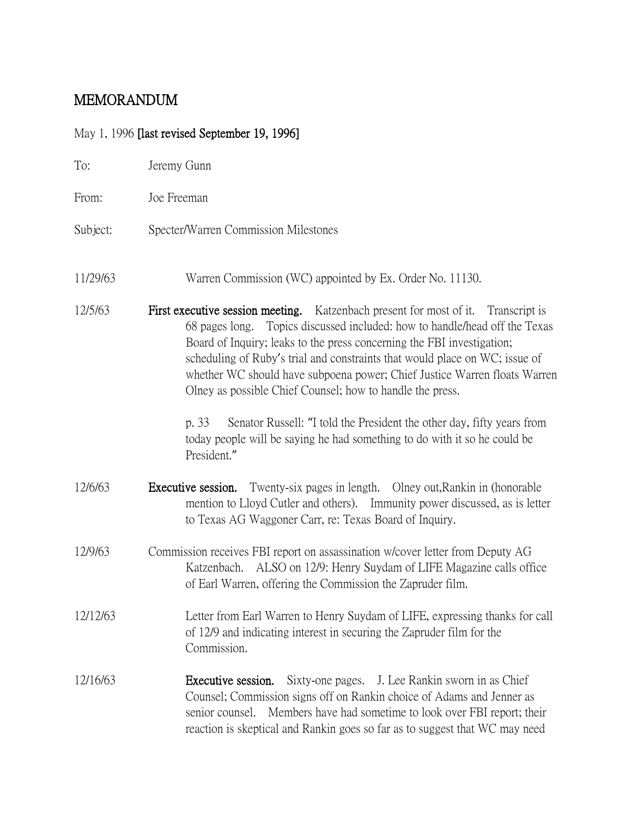# MEMORANDUM

## May 1, 1996 [last revised September 19, 1996]

| To:      | Jeremy Gunn                                                                                                                                                                                                                                                                                                                                                                                                                                                                                                                                                                                                                                       |
|----------|---------------------------------------------------------------------------------------------------------------------------------------------------------------------------------------------------------------------------------------------------------------------------------------------------------------------------------------------------------------------------------------------------------------------------------------------------------------------------------------------------------------------------------------------------------------------------------------------------------------------------------------------------|
| From:    | Joe Freeman                                                                                                                                                                                                                                                                                                                                                                                                                                                                                                                                                                                                                                       |
| Subject: | Specter/Warren Commission Milestones                                                                                                                                                                                                                                                                                                                                                                                                                                                                                                                                                                                                              |
| 11/29/63 | Warren Commission (WC) appointed by Ex. Order No. 11130.                                                                                                                                                                                                                                                                                                                                                                                                                                                                                                                                                                                          |
| 12/5/63  | First executive session meeting. Katzenbach present for most of it. Transcript is<br>68 pages long. Topics discussed included: how to handle/head off the Texas<br>Board of Inquiry; leaks to the press concerning the FBI investigation;<br>scheduling of Ruby's trial and constraints that would place on WC; issue of<br>whether WC should have subpoena power; Chief Justice Warren floats Warren<br>Olney as possible Chief Counsel; how to handle the press.<br>Senator Russell: "I told the President the other day, fifty years from<br>p. 33<br>today people will be saying he had something to do with it so he could be<br>President." |
| 12/6/63  | Twenty-six pages in length. Olney out, Rankin in (honorable<br>Executive session.<br>mention to Lloyd Cutler and others). Immunity power discussed, as is letter<br>to Texas AG Waggoner Carr, re: Texas Board of Inquiry.                                                                                                                                                                                                                                                                                                                                                                                                                        |
| 12/9/63  | Commission receives FBI report on assassination w/cover letter from Deputy AG<br>ALSO on 12/9: Henry Suydam of LIFE Magazine calls office<br>Katzenbach.<br>of Earl Warren, offering the Commission the Zapruder film.                                                                                                                                                                                                                                                                                                                                                                                                                            |
| 12/12/63 | Letter from Earl Warren to Henry Suydam of LIFE, expressing thanks for call<br>of 12/9 and indicating interest in securing the Zapruder film for the<br>Commission.                                                                                                                                                                                                                                                                                                                                                                                                                                                                               |
| 12/16/63 | Executive session.<br>Sixty-one pages. J. Lee Rankin sworn in as Chief<br>Counsel; Commission signs off on Rankin choice of Adams and Jenner as<br>senior counsel. Members have had sometime to look over FBI report; their<br>reaction is skeptical and Rankin goes so far as to suggest that WC may need                                                                                                                                                                                                                                                                                                                                        |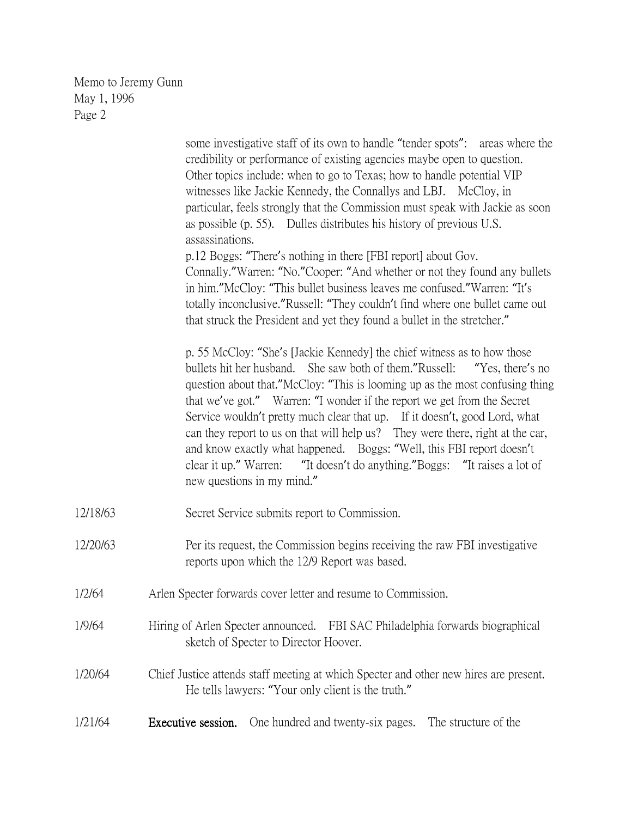some investigative staff of its own to handle "tender spots": areas where the credibility or performance of existing agencies maybe open to question. Other topics include: when to go to Texas; how to handle potential VIP witnesses like Jackie Kennedy, the Connallys and LBJ. McCloy, in particular, feels strongly that the Commission must speak with Jackie as soon as possible (p. 55). Dulles distributes his history of previous U.S. assassinations. p.12 Boggs: "There's nothing in there [FBI report] about Gov. Connally."Warren: "No."Cooper: "And whether or not they found any bullets in him."McCloy: "This bullet business leaves me confused."Warren: "It's totally inconclusive."Russell: "They couldn't find where one bullet came out that struck the President and yet they found a bullet in the stretcher." p. 55 McCloy: "She's [Jackie Kennedy] the chief witness as to how those bullets hit her husband. She saw both of them."Russell: "Yes, there's no question about that."McCloy: "This is looming up as the most confusing thing that we've got." Warren: "I wonder if the report we get from the Secret Service wouldn't pretty much clear that up. If it doesn't, good Lord, what can they report to us on that will help us? They were there, right at the car, and know exactly what happened. Boggs: "Well, this FBI report doesn't clear it up." Warren: "It doesn't do anything."Boggs: "It raises a lot of new questions in my mind." 12/18/63 Secret Service submits report to Commission. 12/20/63 Per its request, the Commission begins receiving the raw FBI investigative reports upon which the 12/9 Report was based. 1/2/64 Arlen Specter forwards cover letter and resume to Commission. 1/9/64 Hiring of Arlen Specter announced. FBI SAC Philadelphia forwards biographical sketch of Specter to Director Hoover. 1/20/64 Chief Justice attends staff meeting at which Specter and other new hires are present. He tells lawyers: "Your only client is the truth." 1/21/64 Executive session. One hundred and twenty-six pages. The structure of the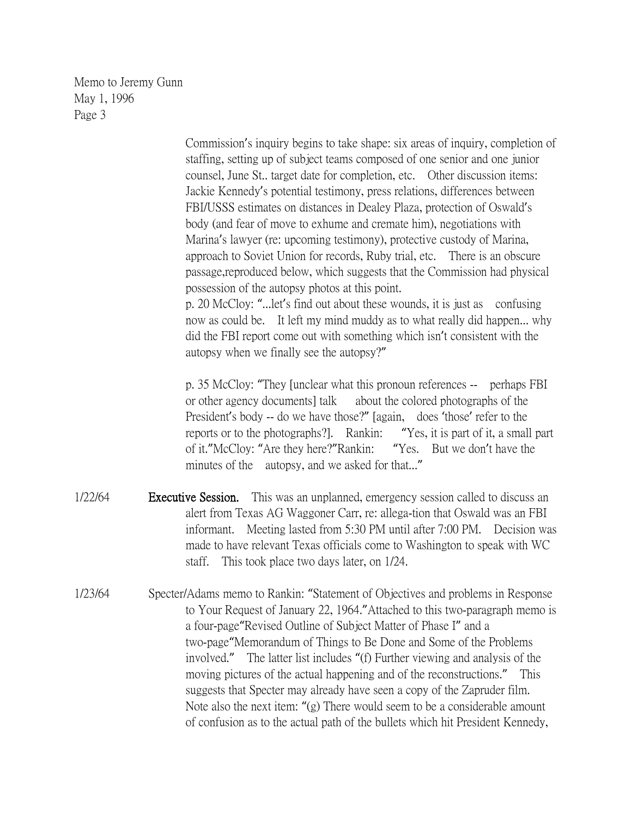> Commission's inquiry begins to take shape: six areas of inquiry, completion of staffing, setting up of subject teams composed of one senior and one junior counsel, June St.. target date for completion, etc. Other discussion items: Jackie Kennedy's potential testimony, press relations, differences between FBI/USSS estimates on distances in Dealey Plaza, protection of Oswald's body (and fear of move to exhume and cremate him), negotiations with Marina's lawyer (re: upcoming testimony), protective custody of Marina, approach to Soviet Union for records, Ruby trial, etc. There is an obscure passage,reproduced below, which suggests that the Commission had physical possession of the autopsy photos at this point.

p. 20 McCloy: "...let's find out about these wounds, it is just as confusing now as could be. It left my mind muddy as to what really did happen... why did the FBI report come out with something which isn't consistent with the autopsy when we finally see the autopsy?"

p. 35 McCloy: "They [unclear what this pronoun references -- perhaps FBI or other agency documents] talk about the colored photographs of the President's body -- do we have those?" [again, does 'those' refer to the reports or to the photographs?]. Rankin: "Yes, it is part of it, a small part of it."McCloy: "Are they here?"Rankin: "Yes. But we don't have the minutes of the autopsy, and we asked for that..."

- 1/22/64 **Executive Session.** This was an unplanned, emergency session called to discuss an alert from Texas AG Waggoner Carr, re: allega-tion that Oswald was an FBI informant. Meeting lasted from 5:30 PM until after 7:00 PM. Decision was made to have relevant Texas officials come to Washington to speak with WC staff. This took place two days later, on 1/24.
- 1/23/64 Specter/Adams memo to Rankin: "Statement of Objectives and problems in Response to Your Request of January 22, 1964."Attached to this two-paragraph memo is a four-page"Revised Outline of Subject Matter of Phase I" and a two-page"Memorandum of Things to Be Done and Some of the Problems involved." The latter list includes "(f) Further viewing and analysis of the moving pictures of the actual happening and of the reconstructions." This suggests that Specter may already have seen a copy of the Zapruder film. Note also the next item: "(g) There would seem to be a considerable amount of confusion as to the actual path of the bullets which hit President Kennedy,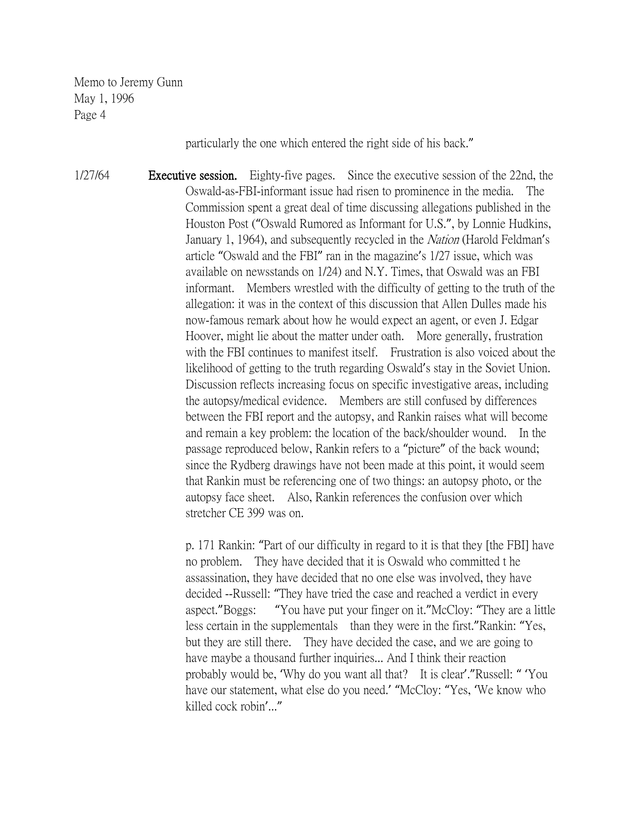particularly the one which entered the right side of his back."

1/27/64 **Executive session.** Eighty-five pages. Since the executive session of the 22nd, the Oswald-as-FBI-informant issue had risen to prominence in the media. The Commission spent a great deal of time discussing allegations published in the Houston Post ("Oswald Rumored as Informant for U.S.", by Lonnie Hudkins, January 1, 1964), and subsequently recycled in the Nation (Harold Feldman's article "Oswald and the FBI" ran in the magazine's 1/27 issue, which was available on newsstands on 1/24) and N.Y. Times, that Oswald was an FBI informant. Members wrestled with the difficulty of getting to the truth of the allegation: it was in the context of this discussion that Allen Dulles made his now-famous remark about how he would expect an agent, or even J. Edgar Hoover, might lie about the matter under oath. More generally, frustration with the FBI continues to manifest itself. Frustration is also voiced about the likelihood of getting to the truth regarding Oswald's stay in the Soviet Union. Discussion reflects increasing focus on specific investigative areas, including the autopsy/medical evidence. Members are still confused by differences between the FBI report and the autopsy, and Rankin raises what will become and remain a key problem: the location of the back/shoulder wound. In the passage reproduced below, Rankin refers to a "picture" of the back wound; since the Rydberg drawings have not been made at this point, it would seem that Rankin must be referencing one of two things: an autopsy photo, or the autopsy face sheet. Also, Rankin references the confusion over which stretcher CE 399 was on.

> p. 171 Rankin: "Part of our difficulty in regard to it is that they [the FBI] have no problem. They have decided that it is Oswald who committed t he assassination, they have decided that no one else was involved, they have decided --Russell: "They have tried the case and reached a verdict in every aspect."Boggs: "You have put your finger on it."McCloy: "They are a little less certain in the supplementals than they were in the first."Rankin: "Yes, but they are still there. They have decided the case, and we are going to have maybe a thousand further inquiries... And I think their reaction probably would be, 'Why do you want all that? It is clear'."Russell: " 'You have our statement, what else do you need.' "McCloy: "Yes, 'We know who killed cock robin'..."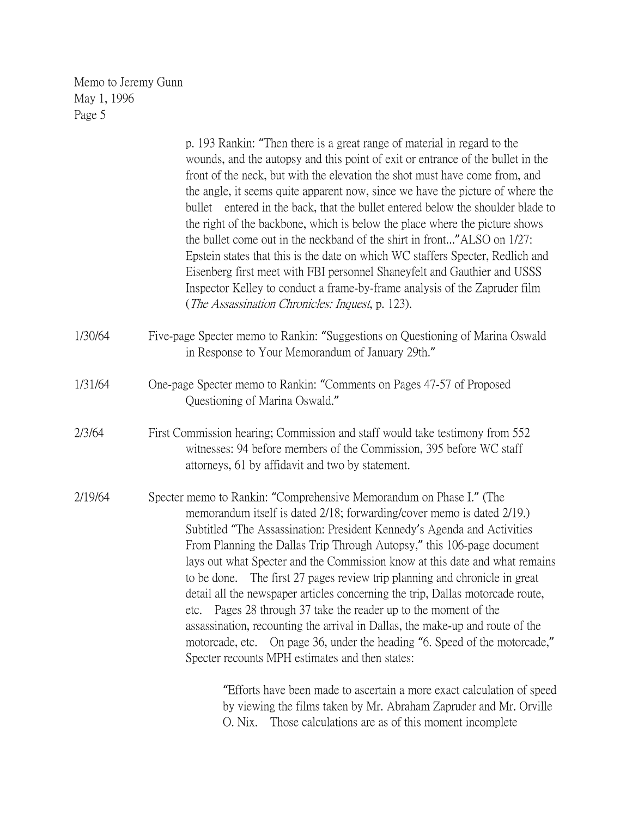|         | p. 193 Rankin: "Then there is a great range of material in regard to the<br>wounds, and the autopsy and this point of exit or entrance of the bullet in the<br>front of the neck, but with the elevation the shot must have come from, and<br>the angle, it seems quite apparent now, since we have the picture of where the<br>bullet entered in the back, that the bullet entered below the shoulder blade to<br>the right of the backbone, which is below the place where the picture shows<br>the bullet come out in the neckband of the shirt in front" ALSO on 1/27:<br>Epstein states that this is the date on which WC staffers Specter, Redlich and<br>Eisenberg first meet with FBI personnel Shaneyfelt and Gauthier and USSS<br>Inspector Kelley to conduct a frame-by-frame analysis of the Zapruder film<br>(The Assassination Chronicles: Inquest, p. 123). |
|---------|----------------------------------------------------------------------------------------------------------------------------------------------------------------------------------------------------------------------------------------------------------------------------------------------------------------------------------------------------------------------------------------------------------------------------------------------------------------------------------------------------------------------------------------------------------------------------------------------------------------------------------------------------------------------------------------------------------------------------------------------------------------------------------------------------------------------------------------------------------------------------|
| 1/30/64 | Five-page Specter memo to Rankin: "Suggestions on Questioning of Marina Oswald<br>in Response to Your Memorandum of January 29th."                                                                                                                                                                                                                                                                                                                                                                                                                                                                                                                                                                                                                                                                                                                                         |
| 1/31/64 | One-page Specter memo to Rankin: "Comments on Pages 47-57 of Proposed<br>Questioning of Marina Oswald."                                                                                                                                                                                                                                                                                                                                                                                                                                                                                                                                                                                                                                                                                                                                                                    |
| 2/3/64  | First Commission hearing; Commission and staff would take testimony from 552<br>witnesses: 94 before members of the Commission, 395 before WC staff<br>attorneys, 61 by affidavit and two by statement.                                                                                                                                                                                                                                                                                                                                                                                                                                                                                                                                                                                                                                                                    |
| 2/19/64 | Specter memo to Rankin: "Comprehensive Memorandum on Phase I." (The<br>memorandum itself is dated 2/18; forwarding/cover memo is dated 2/19.)<br>Subtitled "The Assassination: President Kennedy's Agenda and Activities<br>From Planning the Dallas Trip Through Autopsy," this 106-page document<br>lays out what Specter and the Commission know at this date and what remains<br>The first 27 pages review trip planning and chronicle in great<br>to be done.<br>detail all the newspaper articles concerning the trip, Dallas motorcade route,<br>Pages 28 through 37 take the reader up to the moment of the<br>etc.<br>assassination, recounting the arrival in Dallas, the make-up and route of the<br>motorcade, etc. On page 36, under the heading "6. Speed of the motorcade,"<br>Specter recounts MPH estimates and then states:                              |
|         | "Efforts have been made to ascertain a more exact calculation of speed                                                                                                                                                                                                                                                                                                                                                                                                                                                                                                                                                                                                                                                                                                                                                                                                     |

by viewing the films taken by Mr. Abraham Zapruder and Mr. Orville O. Nix. Those calculations are as of this moment incomplete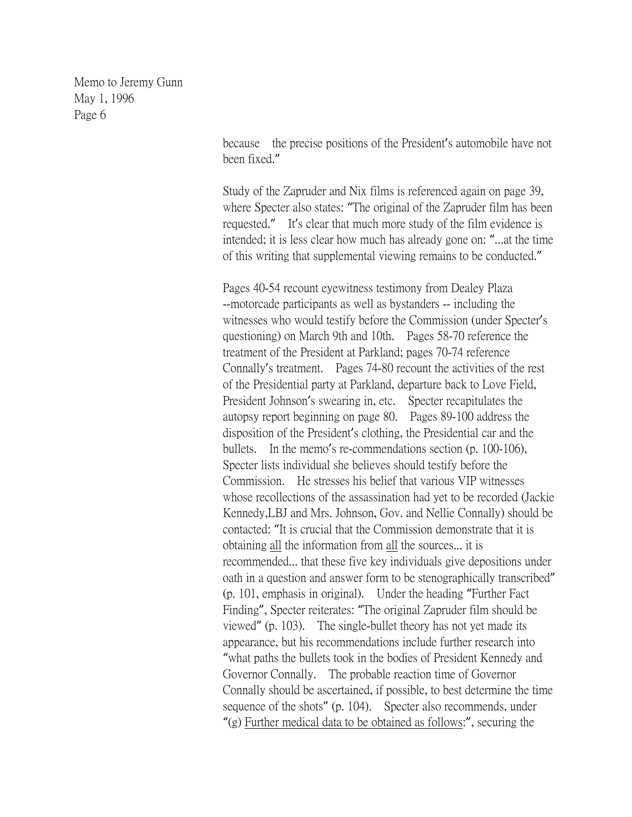> because the precise positions of the President's automobile have not been fixed."

> Study of the Zapruder and Nix films is referenced again on page 39, where Specter also states: "The original of the Zapruder film has been requested." It's clear that much more study of the film evidence is intended; it is less clear how much has already gone on: "...at the time of this writing that supplemental viewing remains to be conducted."

> Pages 40-54 recount eyewitness testimony from Dealey Plaza --motorcade participants as well as bystanders -- including the witnesses who would testify before the Commission (under Specter's questioning) on March 9th and 10th. Pages 58-70 reference the treatment of the President at Parkland; pages 70-74 reference Connally's treatment. Pages 74-80 recount the activities of the rest of the Presidential party at Parkland, departure back to Love Field, President Johnson's swearing in, etc. Specter recapitulates the autopsy report beginning on page 80. Pages 89-100 address the disposition of the President's clothing, the Presidential car and the bullets. In the memo's re-commendations section (p. 100-106), Specter lists individual she believes should testify before the Commission. He stresses his belief that various VIP witnesses whose recollections of the assassination had yet to be recorded (Jackie Kennedy,LBJ and Mrs. Johnson, Gov. and Nellie Connally) should be contacted: "It is crucial that the Commission demonstrate that it is obtaining all the information from all the sources... it is recommended... that these five key individuals give depositions under oath in a question and answer form to be stenographically transcribed" (p. 101, emphasis in original). Under the heading "Further Fact Finding", Specter reiterates: "The original Zapruder film should be viewed" (p. 103). The single-bullet theory has not yet made its appearance, but his recommendations include further research into "what paths the bullets took in the bodies of President Kennedy and Governor Connally. The probable reaction time of Governor Connally should be ascertained, if possible, to best determine the time sequence of the shots" (p. 104). Specter also recommends, under "(g) Further medical data to be obtained as follows:", securing the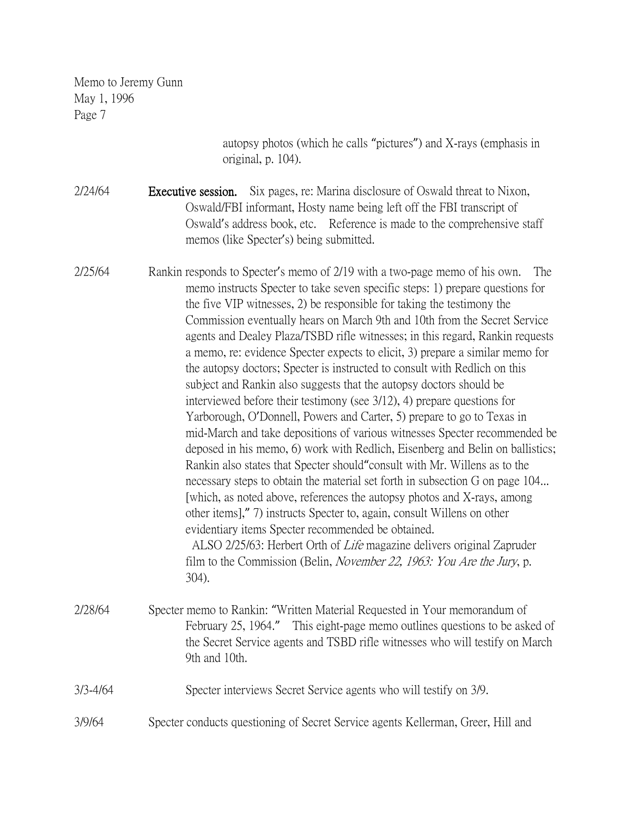> autopsy photos (which he calls "pictures") and X-rays (emphasis in original, p. 104).

2/24/64 Executive session. Six pages, re: Marina disclosure of Oswald threat to Nixon, Oswald/FBI informant, Hosty name being left off the FBI transcript of Oswald's address book, etc. Reference is made to the comprehensive staff memos (like Specter's) being submitted.

2/25/64 Rankin responds to Specter's memo of 2/19 with a two-page memo of his own. The memo instructs Specter to take seven specific steps: 1) prepare questions for the five VIP witnesses, 2) be responsible for taking the testimony the Commission eventually hears on March 9th and 10th from the Secret Service agents and Dealey Plaza/TSBD rifle witnesses; in this regard, Rankin requests a memo, re: evidence Specter expects to elicit, 3) prepare a similar memo for the autopsy doctors; Specter is instructed to consult with Redlich on this subject and Rankin also suggests that the autopsy doctors should be interviewed before their testimony (see 3/12), 4) prepare questions for Yarborough, O'Donnell, Powers and Carter, 5) prepare to go to Texas in mid-March and take depositions of various witnesses Specter recommended be deposed in his memo, 6) work with Redlich, Eisenberg and Belin on ballistics; Rankin also states that Specter should"consult with Mr. Willens as to the necessary steps to obtain the material set forth in subsection G on page 104... [which, as noted above, references the autopsy photos and X-rays, among other items]," 7) instructs Specter to, again, consult Willens on other evidentiary items Specter recommended be obtained. ALSO 2/25/63: Herbert Orth of Life magazine delivers original Zapruder film to the Commission (Belin, *November 22, 1963: You Are the Jury*, p. 304). 2/28/64 Specter memo to Rankin: "Written Material Requested in Your memorandum of

February 25, 1964." This eight-page memo outlines questions to be asked of the Secret Service agents and TSBD rifle witnesses who will testify on March 9th and 10th.

#### 3/3-4/64 Specter interviews Secret Service agents who will testify on 3/9.

3/9/64 Specter conducts questioning of Secret Service agents Kellerman, Greer, Hill and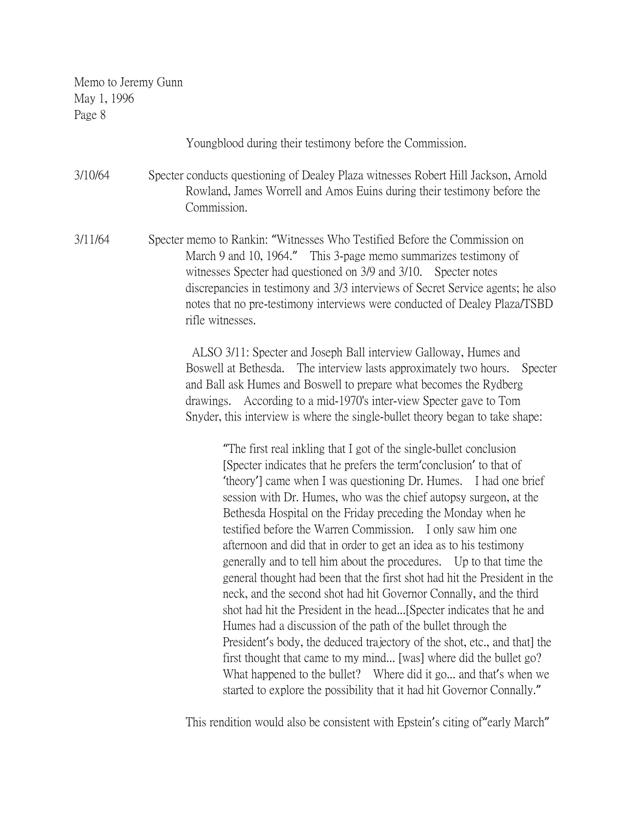Youngblood during their testimony before the Commission.

3/10/64 Specter conducts questioning of Dealey Plaza witnesses Robert Hill Jackson, Arnold Rowland, James Worrell and Amos Euins during their testimony before the Commission.

3/11/64 Specter memo to Rankin: "Witnesses Who Testified Before the Commission on March 9 and 10, 1964." This 3-page memo summarizes testimony of witnesses Specter had questioned on 3/9 and 3/10. Specter notes discrepancies in testimony and 3/3 interviews of Secret Service agents; he also notes that no pre-testimony interviews were conducted of Dealey Plaza/TSBD rifle witnesses.

> ALSO 3/11: Specter and Joseph Ball interview Galloway, Humes and Boswell at Bethesda. The interview lasts approximately two hours. Specter and Ball ask Humes and Boswell to prepare what becomes the Rydberg drawings. According to a mid-1970's inter-view Specter gave to Tom Snyder, this interview is where the single-bullet theory began to take shape:

"The first real inkling that I got of the single-bullet conclusion [Specter indicates that he prefers the term'conclusion' to that of 'theory'] came when I was questioning Dr. Humes. I had one brief session with Dr. Humes, who was the chief autopsy surgeon, at the Bethesda Hospital on the Friday preceding the Monday when he testified before the Warren Commission. I only saw him one afternoon and did that in order to get an idea as to his testimony generally and to tell him about the procedures. Up to that time the general thought had been that the first shot had hit the President in the neck, and the second shot had hit Governor Connally, and the third shot had hit the President in the head...[Specter indicates that he and Humes had a discussion of the path of the bullet through the President's body, the deduced trajectory of the shot, etc., and that] the first thought that came to my mind... [was] where did the bullet go? What happened to the bullet? Where did it go... and that's when we started to explore the possibility that it had hit Governor Connally."

This rendition would also be consistent with Epstein's citing of"early March"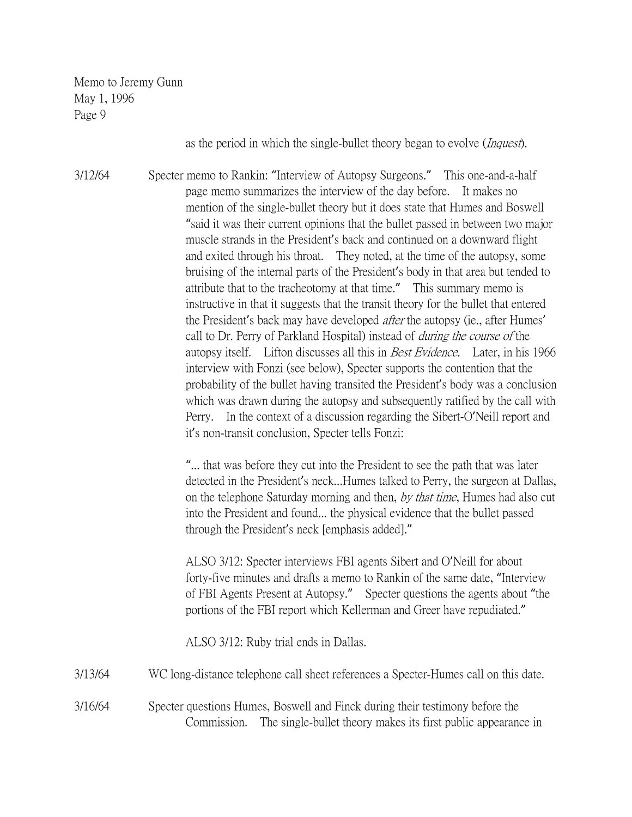as the period in which the single-bullet theory began to evolve (*Inquest*).

3/12/64 Specter memo to Rankin: "Interview of Autopsy Surgeons." This one-and-a-half page memo summarizes the interview of the day before. It makes no mention of the single-bullet theory but it does state that Humes and Boswell "said it was their current opinions that the bullet passed in between two major muscle strands in the President's back and continued on a downward flight and exited through his throat. They noted, at the time of the autopsy, some bruising of the internal parts of the President's body in that area but tended to attribute that to the tracheotomy at that time." This summary memo is instructive in that it suggests that the transit theory for the bullet that entered the President's back may have developed *after* the autopsy (ie., after Humes' call to Dr. Perry of Parkland Hospital) instead of during the course of the autopsy itself. Lifton discusses all this in Best Evidence. Later, in his 1966 interview with Fonzi (see below), Specter supports the contention that the probability of the bullet having transited the President's body was a conclusion which was drawn during the autopsy and subsequently ratified by the call with Perry. In the context of a discussion regarding the Sibert-O'Neill report and it's non-transit conclusion, Specter tells Fonzi:

> "... that was before they cut into the President to see the path that was later detected in the President's neck...Humes talked to Perry, the surgeon at Dallas, on the telephone Saturday morning and then, by that time, Humes had also cut into the President and found... the physical evidence that the bullet passed through the President's neck [emphasis added]."

ALSO 3/12: Specter interviews FBI agents Sibert and O'Neill for about forty-five minutes and drafts a memo to Rankin of the same date, "Interview of FBI Agents Present at Autopsy." Specter questions the agents about "the portions of the FBI report which Kellerman and Greer have repudiated."

ALSO 3/12: Ruby trial ends in Dallas.

3/13/64 WC long-distance telephone call sheet references a Specter-Humes call on this date.

3/16/64 Specter questions Humes, Boswell and Finck during their testimony before the Commission. The single-bullet theory makes its first public appearance in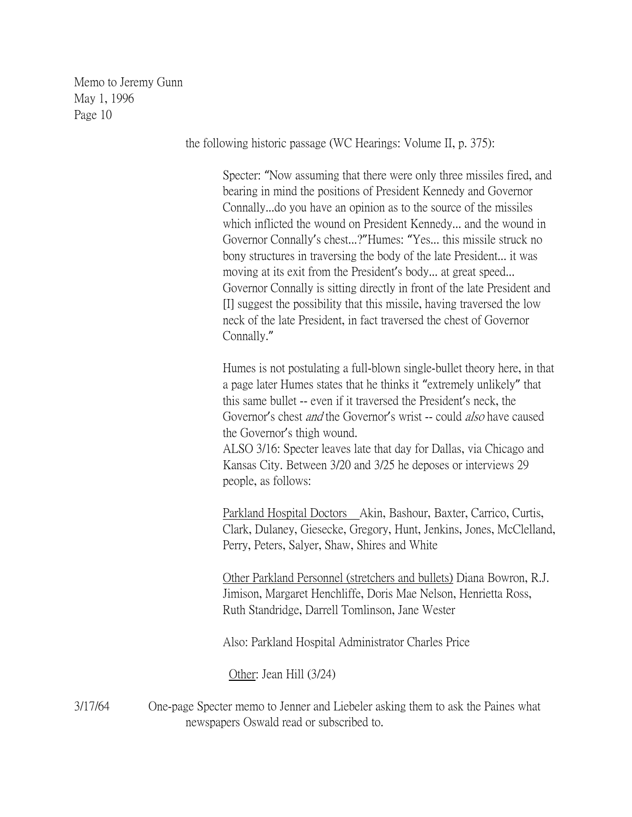the following historic passage (WC Hearings: Volume II, p. 375):

Specter: "Now assuming that there were only three missiles fired, and bearing in mind the positions of President Kennedy and Governor Connally...do you have an opinion as to the source of the missiles which inflicted the wound on President Kennedy... and the wound in Governor Connally's chest...?"Humes: "Yes... this missile struck no bony structures in traversing the body of the late President... it was moving at its exit from the President's body... at great speed... Governor Connally is sitting directly in front of the late President and [I] suggest the possibility that this missile, having traversed the low neck of the late President, in fact traversed the chest of Governor Connally."

Humes is not postulating a full-blown single-bullet theory here, in that a page later Humes states that he thinks it "extremely unlikely" that this same bullet -- even if it traversed the President's neck, the Governor's chest *and* the Governor's wrist -- could *also* have caused the Governor's thigh wound.

ALSO 3/16: Specter leaves late that day for Dallas, via Chicago and Kansas City. Between 3/20 and 3/25 he deposes or interviews 29 people, as follows:

Parkland Hospital Doctors Akin, Bashour, Baxter, Carrico, Curtis, Clark, Dulaney, Giesecke, Gregory, Hunt, Jenkins, Jones, McClelland, Perry, Peters, Salyer, Shaw, Shires and White

Other Parkland Personnel (stretchers and bullets) Diana Bowron, R.J. Jimison, Margaret Henchliffe, Doris Mae Nelson, Henrietta Ross, Ruth Standridge, Darrell Tomlinson, Jane Wester

Also: Parkland Hospital Administrator Charles Price

Other: Jean Hill (3/24)

3/17/64 One-page Specter memo to Jenner and Liebeler asking them to ask the Paines what newspapers Oswald read or subscribed to.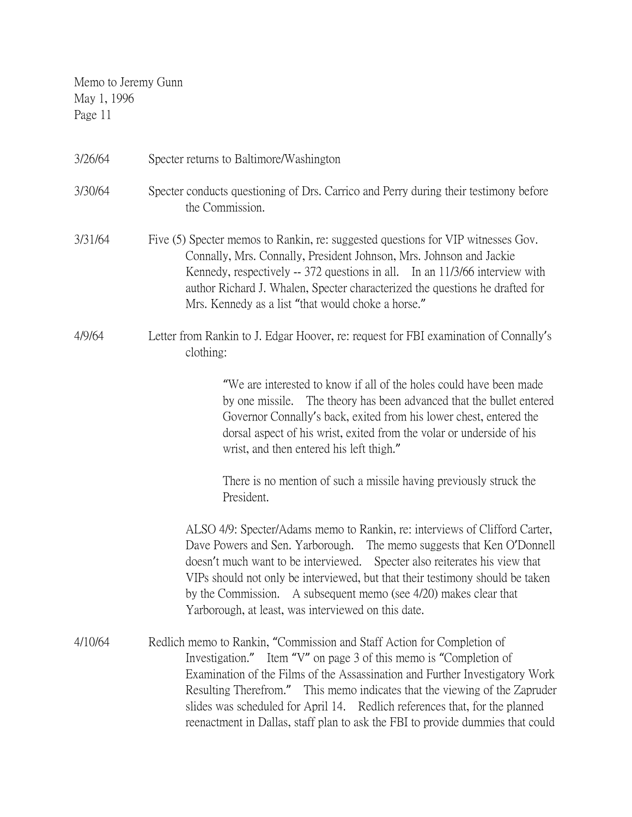| 3/26/64 | Specter returns to Baltimore/Washington                                                                                                                                                                                                                                                                                                                                                                                                                                    |
|---------|----------------------------------------------------------------------------------------------------------------------------------------------------------------------------------------------------------------------------------------------------------------------------------------------------------------------------------------------------------------------------------------------------------------------------------------------------------------------------|
| 3/30/64 | Specter conducts questioning of Drs. Carrico and Perry during their testimony before<br>the Commission.                                                                                                                                                                                                                                                                                                                                                                    |
| 3/31/64 | Five (5) Specter memos to Rankin, re: suggested questions for VIP witnesses Gov.<br>Connally, Mrs. Connally, President Johnson, Mrs. Johnson and Jackie<br>Kennedy, respectively -- 372 questions in all. In an 11/3/66 interview with<br>author Richard J. Whalen, Specter characterized the questions he drafted for<br>Mrs. Kennedy as a list "that would choke a horse."                                                                                               |
| 4/9/64  | Letter from Rankin to J. Edgar Hoover, re: request for FBI examination of Connally's<br>clothing:                                                                                                                                                                                                                                                                                                                                                                          |
|         | "We are interested to know if all of the holes could have been made<br>by one missile. The theory has been advanced that the bullet entered<br>Governor Connally's back, exited from his lower chest, entered the<br>dorsal aspect of his wrist, exited from the volar or underside of his<br>wrist, and then entered his left thigh."                                                                                                                                     |
|         | There is no mention of such a missile having previously struck the<br>President.                                                                                                                                                                                                                                                                                                                                                                                           |
|         | ALSO 4/9: Specter/Adams memo to Rankin, re: interviews of Clifford Carter,<br>Dave Powers and Sen. Yarborough. The memo suggests that Ken O'Donnell<br>doesn't much want to be interviewed. Specter also reiterates his view that<br>VIPs should not only be interviewed, but that their testimony should be taken<br>by the Commission. A subsequent memo (see 4/20) makes clear that<br>Yarborough, at least, was interviewed on this date.                              |
| 4/10/64 | Redlich memo to Rankin, "Commission and Staff Action for Completion of<br>Investigation." Item "V" on page 3 of this memo is "Completion of<br>Examination of the Films of the Assassination and Further Investigatory Work<br>Resulting Therefrom." This memo indicates that the viewing of the Zapruder<br>slides was scheduled for April 14. Redlich references that, for the planned<br>reenactment in Dallas, staff plan to ask the FBI to provide dummies that could |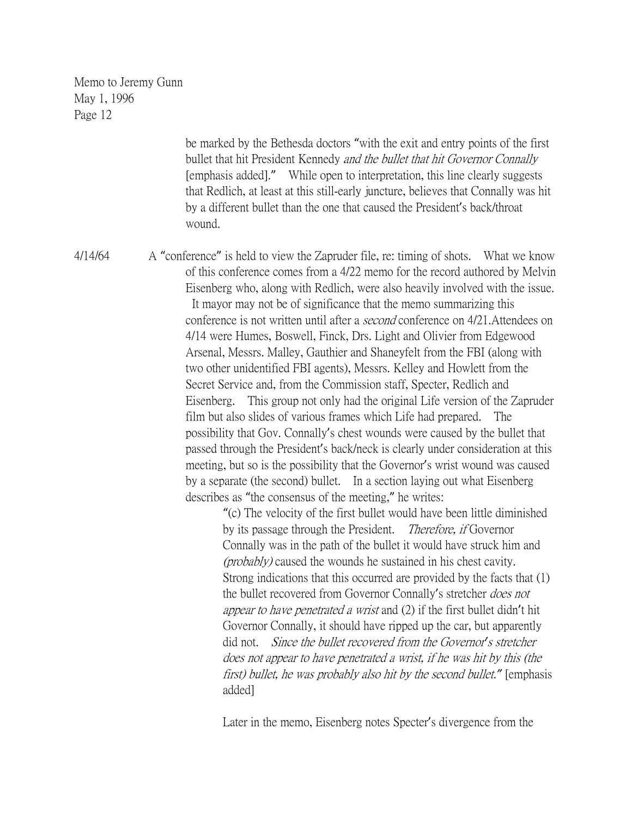> be marked by the Bethesda doctors "with the exit and entry points of the first bullet that hit President Kennedy and the bullet that hit Governor Connally [emphasis added]." While open to interpretation, this line clearly suggests that Redlich, at least at this still-early juncture, believes that Connally was hit by a different bullet than the one that caused the President's back/throat wound.

4/14/64 A "conference" is held to view the Zapruder file, re: timing of shots. What we know of this conference comes from a 4/22 memo for the record authored by Melvin Eisenberg who, along with Redlich, were also heavily involved with the issue. It mayor may not be of significance that the memo summarizing this conference is not written until after a second conference on 4/21.Attendees on 4/14 were Humes, Boswell, Finck, Drs. Light and Olivier from Edgewood Arsenal, Messrs. Malley, Gauthier and Shaneyfelt from the FBI (along with two other unidentified FBI agents), Messrs. Kelley and Howlett from the Secret Service and, from the Commission staff, Specter, Redlich and Eisenberg. This group not only had the original Life version of the Zapruder film but also slides of various frames which Life had prepared. The possibility that Gov. Connally's chest wounds were caused by the bullet that passed through the President's back/neck is clearly under consideration at this meeting, but so is the possibility that the Governor's wrist wound was caused by a separate (the second) bullet. In a section laying out what Eisenberg describes as "the consensus of the meeting," he writes:

> "(c) The velocity of the first bullet would have been little diminished by its passage through the President. Therefore, if Governor Connally was in the path of the bullet it would have struck him and (probably) caused the wounds he sustained in his chest cavity. Strong indications that this occurred are provided by the facts that (1) the bullet recovered from Governor Connally's stretcher does not appear to have penetrated a wrist and (2) if the first bullet didn't hit Governor Connally, it should have ripped up the car, but apparently did not. Since the bullet recovered from the Governor*'*s stretcher does not appear to have penetrated a wrist, if he was hit by this (the first) bullet, he was probably also hit by the second bullet.*"* [emphasis added]

Later in the memo, Eisenberg notes Specter's divergence from the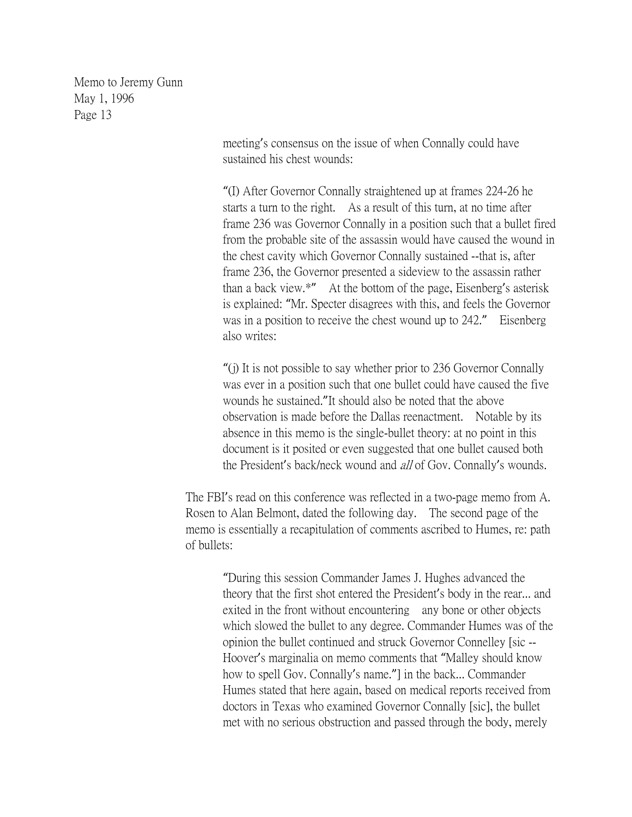> meeting's consensus on the issue of when Connally could have sustained his chest wounds:

"(I) After Governor Connally straightened up at frames 224-26 he starts a turn to the right. As a result of this turn, at no time after frame 236 was Governor Connally in a position such that a bullet fired from the probable site of the assassin would have caused the wound in the chest cavity which Governor Connally sustained --that is, after frame 236, the Governor presented a sideview to the assassin rather than a back view.\*" At the bottom of the page, Eisenberg's asterisk is explained: "Mr. Specter disagrees with this, and feels the Governor was in a position to receive the chest wound up to 242." Eisenberg also writes:

"(j) It is not possible to say whether prior to 236 Governor Connally was ever in a position such that one bullet could have caused the five wounds he sustained."It should also be noted that the above observation is made before the Dallas reenactment. Notable by its absence in this memo is the single-bullet theory: at no point in this document is it posited or even suggested that one bullet caused both the President's back/neck wound and *all* of Gov. Connally's wounds.

The FBI's read on this conference was reflected in a two-page memo from A. Rosen to Alan Belmont, dated the following day. The second page of the memo is essentially a recapitulation of comments ascribed to Humes, re: path of bullets:

> "During this session Commander James J. Hughes advanced the theory that the first shot entered the President's body in the rear... and exited in the front without encountering any bone or other objects which slowed the bullet to any degree. Commander Humes was of the opinion the bullet continued and struck Governor Connelley [sic -- Hoover's marginalia on memo comments that "Malley should know how to spell Gov. Connally's name."] in the back... Commander Humes stated that here again, based on medical reports received from doctors in Texas who examined Governor Connally [sic], the bullet met with no serious obstruction and passed through the body, merely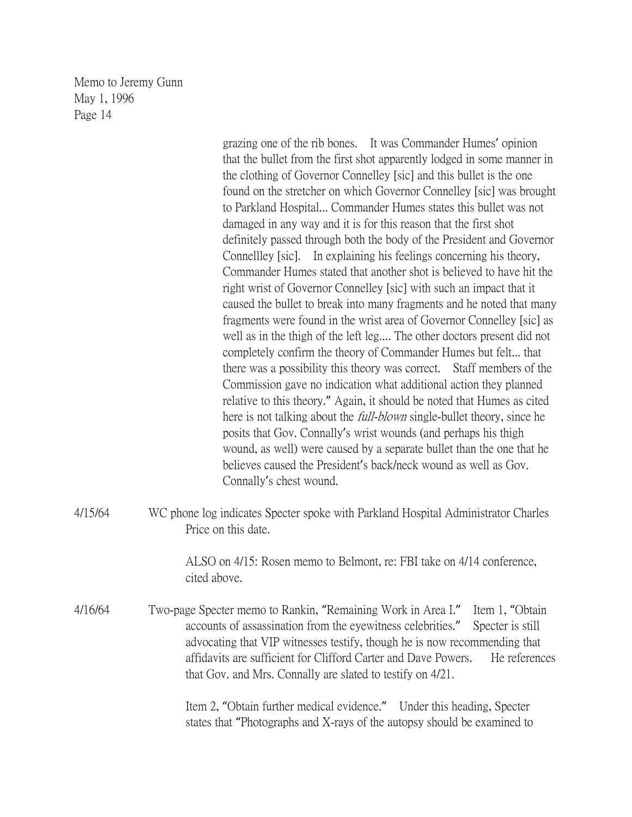|         | grazing one of the rib bones. It was Commander Humes' opinion<br>that the bullet from the first shot apparently lodged in some manner in<br>the clothing of Governor Connelley [sic] and this bullet is the one<br>found on the stretcher on which Governor Connelley [sic] was brought<br>to Parkland Hospital Commander Humes states this bullet was not<br>damaged in any way and it is for this reason that the first shot<br>definitely passed through both the body of the President and Governor<br>Connelley [sic]. In explaining his feelings concerning his theory,<br>Commander Humes stated that another shot is believed to have hit the<br>right wrist of Governor Connelley [sic] with such an impact that it<br>caused the bullet to break into many fragments and he noted that many<br>fragments were found in the wrist area of Governor Connelley [sic] as<br>well as in the thigh of the left leg The other doctors present did not<br>completely confirm the theory of Commander Humes but felt that<br>there was a possibility this theory was correct. Staff members of the<br>Commission gave no indication what additional action they planned<br>relative to this theory." Again, it should be noted that Humes as cited<br>here is not talking about the <i>full-blown</i> single-bullet theory, since he<br>posits that Gov. Connally's wrist wounds (and perhaps his thigh<br>wound, as well) were caused by a separate bullet than the one that he<br>believes caused the President's back/neck wound as well as Gov.<br>Connally's chest wound. |
|---------|---------------------------------------------------------------------------------------------------------------------------------------------------------------------------------------------------------------------------------------------------------------------------------------------------------------------------------------------------------------------------------------------------------------------------------------------------------------------------------------------------------------------------------------------------------------------------------------------------------------------------------------------------------------------------------------------------------------------------------------------------------------------------------------------------------------------------------------------------------------------------------------------------------------------------------------------------------------------------------------------------------------------------------------------------------------------------------------------------------------------------------------------------------------------------------------------------------------------------------------------------------------------------------------------------------------------------------------------------------------------------------------------------------------------------------------------------------------------------------------------------------------------------------------------------------------------------------|
| 4/15/64 | WC phone log indicates Specter spoke with Parkland Hospital Administrator Charles<br>Price on this date.                                                                                                                                                                                                                                                                                                                                                                                                                                                                                                                                                                                                                                                                                                                                                                                                                                                                                                                                                                                                                                                                                                                                                                                                                                                                                                                                                                                                                                                                        |
|         | ALSO on 4/15: Rosen memo to Belmont, re: FBI take on 4/14 conference,<br>cited above.                                                                                                                                                                                                                                                                                                                                                                                                                                                                                                                                                                                                                                                                                                                                                                                                                                                                                                                                                                                                                                                                                                                                                                                                                                                                                                                                                                                                                                                                                           |
| 4/16/64 | Two-page Specter memo to Rankin, "Remaining Work in Area I." Item 1, "Obtain<br>accounts of assassination from the eyewitness celebrities."<br>Specter is still<br>advocating that VIP witnesses testify, though he is now recommending that<br>affidavits are sufficient for Clifford Carter and Dave Powers.<br>He references<br>that Gov. and Mrs. Connally are slated to testify on 4/21.<br>Item 2, "Obtain further medical evidence." Under this heading, Specter                                                                                                                                                                                                                                                                                                                                                                                                                                                                                                                                                                                                                                                                                                                                                                                                                                                                                                                                                                                                                                                                                                         |
|         | states that "Photographs and X-rays of the autopsy should be examined to                                                                                                                                                                                                                                                                                                                                                                                                                                                                                                                                                                                                                                                                                                                                                                                                                                                                                                                                                                                                                                                                                                                                                                                                                                                                                                                                                                                                                                                                                                        |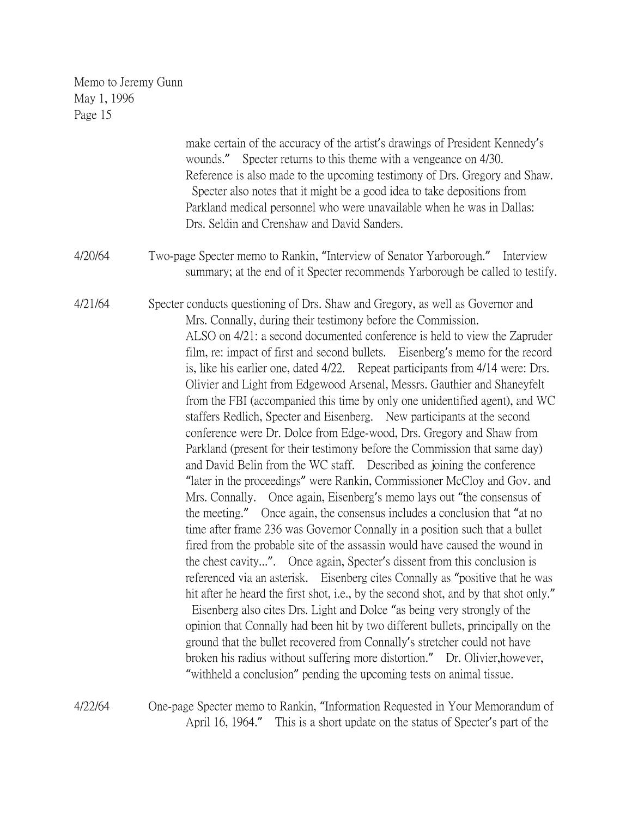|         | make certain of the accuracy of the artist's drawings of President Kennedy's<br>Specter returns to this theme with a vengeance on 4/30.<br>wounds."<br>Reference is also made to the upcoming testimony of Drs. Gregory and Shaw.<br>Specter also notes that it might be a good idea to take depositions from<br>Parkland medical personnel who were unavailable when he was in Dallas:<br>Drs. Seldin and Crenshaw and David Sanders.                                                                                                                                                                                                                                                                                                                                                                                                                                                                                                                                                                                                                                                                                                                                                                                                                                                                                                                                                                                                                                                                                                                                                                                                                                                                                                                                                                                                                                                                                        |
|---------|-------------------------------------------------------------------------------------------------------------------------------------------------------------------------------------------------------------------------------------------------------------------------------------------------------------------------------------------------------------------------------------------------------------------------------------------------------------------------------------------------------------------------------------------------------------------------------------------------------------------------------------------------------------------------------------------------------------------------------------------------------------------------------------------------------------------------------------------------------------------------------------------------------------------------------------------------------------------------------------------------------------------------------------------------------------------------------------------------------------------------------------------------------------------------------------------------------------------------------------------------------------------------------------------------------------------------------------------------------------------------------------------------------------------------------------------------------------------------------------------------------------------------------------------------------------------------------------------------------------------------------------------------------------------------------------------------------------------------------------------------------------------------------------------------------------------------------------------------------------------------------------------------------------------------------|
| 4/20/64 | Two-page Specter memo to Rankin, "Interview of Senator Yarborough."<br>Interview<br>summary; at the end of it Specter recommends Yarborough be called to testify.                                                                                                                                                                                                                                                                                                                                                                                                                                                                                                                                                                                                                                                                                                                                                                                                                                                                                                                                                                                                                                                                                                                                                                                                                                                                                                                                                                                                                                                                                                                                                                                                                                                                                                                                                             |
| 4/21/64 | Specter conducts questioning of Drs. Shaw and Gregory, as well as Governor and<br>Mrs. Connally, during their testimony before the Commission.<br>ALSO on 4/21: a second documented conference is held to view the Zapruder<br>film, re: impact of first and second bullets. Eisenberg's memo for the record<br>is, like his earlier one, dated 4/22. Repeat participants from 4/14 were: Drs.<br>Olivier and Light from Edgewood Arsenal, Messrs. Gauthier and Shaneyfelt<br>from the FBI (accompanied this time by only one unidentified agent), and WC<br>staffers Redlich, Specter and Eisenberg. New participants at the second<br>conference were Dr. Dolce from Edge-wood, Drs. Gregory and Shaw from<br>Parkland (present for their testimony before the Commission that same day)<br>and David Belin from the WC staff. Described as joining the conference<br>"later in the proceedings" were Rankin, Commissioner McCloy and Gov. and<br>Mrs. Connally. Once again, Eisenberg's memo lays out "the consensus of<br>the meeting." Once again, the consensus includes a conclusion that "at no<br>time after frame 236 was Governor Connally in a position such that a bullet<br>fired from the probable site of the assassin would have caused the wound in<br>the chest cavity". Once again, Specter's dissent from this conclusion is<br>referenced via an asterisk. Eisenberg cites Connally as "positive that he was<br>hit after he heard the first shot, i.e., by the second shot, and by that shot only."<br>Eisenberg also cites Drs. Light and Dolce "as being very strongly of the<br>opinion that Connally had been hit by two different bullets, principally on the<br>ground that the bullet recovered from Connally's stretcher could not have<br>broken his radius without suffering more distortion." Dr. Olivier, however,<br>"withheld a conclusion" pending the upcoming tests on animal tissue. |

4/22/64 One-page Specter memo to Rankin, "Information Requested in Your Memorandum of April 16, 1964." This is a short update on the status of Specter's part of the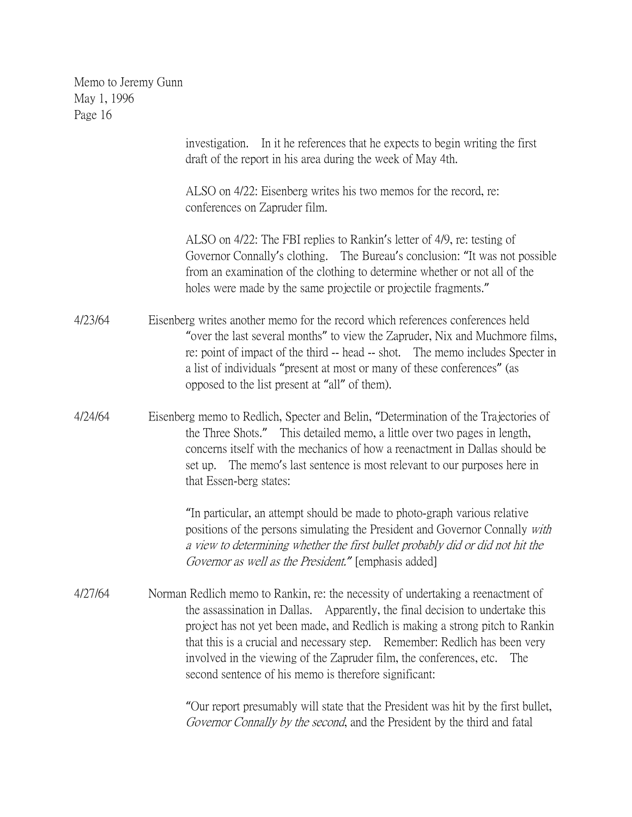|         | investigation. In it he references that he expects to begin writing the first<br>draft of the report in his area during the week of May 4th.                                                                                                                                                                                                                                                                                                                            |
|---------|-------------------------------------------------------------------------------------------------------------------------------------------------------------------------------------------------------------------------------------------------------------------------------------------------------------------------------------------------------------------------------------------------------------------------------------------------------------------------|
|         | ALSO on 4/22: Eisenberg writes his two memos for the record, re:<br>conferences on Zapruder film.                                                                                                                                                                                                                                                                                                                                                                       |
|         | ALSO on 4/22: The FBI replies to Rankin's letter of 4/9, re: testing of<br>Governor Connally's clothing. The Bureau's conclusion: "It was not possible<br>from an examination of the clothing to determine whether or not all of the<br>holes were made by the same projectile or projectile fragments."                                                                                                                                                                |
| 4/23/64 | Eisenberg writes another memo for the record which references conferences held<br>"over the last several months" to view the Zapruder, Nix and Muchmore films,<br>re: point of impact of the third -- head -- shot. The memo includes Specter in<br>a list of individuals "present at most or many of these conferences" (as<br>opposed to the list present at "all" of them).                                                                                          |
| 4/24/64 | Eisenberg memo to Redlich, Specter and Belin, "Determination of the Trajectories of<br>the Three Shots." This detailed memo, a little over two pages in length,<br>concerns itself with the mechanics of how a reenactment in Dallas should be<br>set up. The memo's last sentence is most relevant to our purposes here in<br>that Essen-berg states:                                                                                                                  |
|         | "In particular, an attempt should be made to photo-graph various relative<br>positions of the persons simulating the President and Governor Connally with<br>a view to determining whether the first bullet probably did or did not hit the<br>Governor as well as the President." [emphasis added]                                                                                                                                                                     |
| 4/27/64 | Norman Redlich memo to Rankin, re: the necessity of undertaking a reenactment of<br>the assassination in Dallas. Apparently, the final decision to undertake this<br>project has not yet been made, and Redlich is making a strong pitch to Rankin<br>that this is a crucial and necessary step. Remember: Redlich has been very<br>involved in the viewing of the Zapruder film, the conferences, etc.<br>The<br>second sentence of his memo is therefore significant: |
|         | "Our report presumably will state that the President was hit by the first bullet,<br>Governor Connally by the second, and the President by the third and fatal                                                                                                                                                                                                                                                                                                          |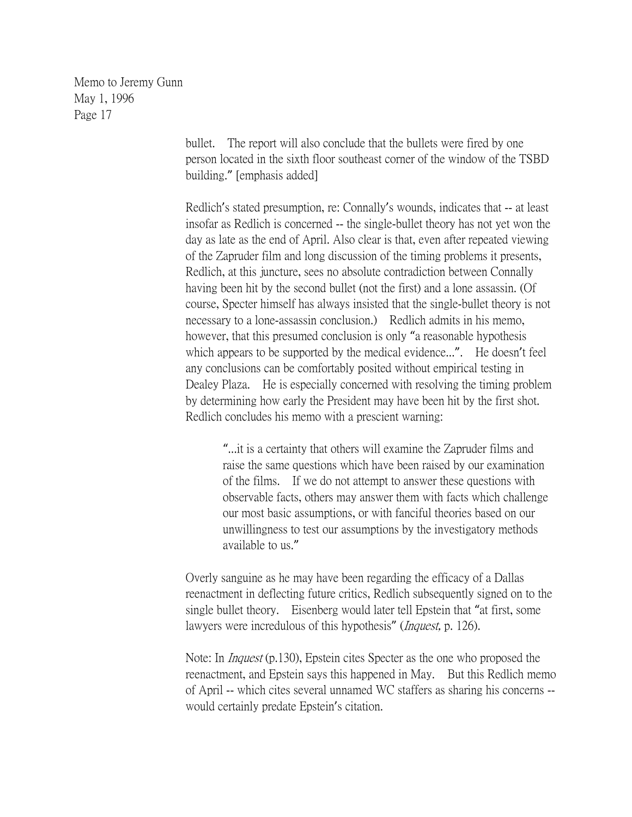> bullet. The report will also conclude that the bullets were fired by one person located in the sixth floor southeast corner of the window of the TSBD building." [emphasis added]

> Redlich's stated presumption, re: Connally's wounds, indicates that -- at least insofar as Redlich is concerned -- the single-bullet theory has not yet won the day as late as the end of April. Also clear is that, even after repeated viewing of the Zapruder film and long discussion of the timing problems it presents, Redlich, at this juncture, sees no absolute contradiction between Connally having been hit by the second bullet (not the first) and a lone assassin. (Of course, Specter himself has always insisted that the single-bullet theory is not necessary to a lone-assassin conclusion.) Redlich admits in his memo, however, that this presumed conclusion is only "a reasonable hypothesis which appears to be supported by the medical evidence...". He doesn't feel any conclusions can be comfortably posited without empirical testing in Dealey Plaza. He is especially concerned with resolving the timing problem by determining how early the President may have been hit by the first shot. Redlich concludes his memo with a prescient warning:

"...it is a certainty that others will examine the Zapruder films and raise the same questions which have been raised by our examination of the films. If we do not attempt to answer these questions with observable facts, others may answer them with facts which challenge our most basic assumptions, or with fanciful theories based on our unwillingness to test our assumptions by the investigatory methods available to us."

Overly sanguine as he may have been regarding the efficacy of a Dallas reenactment in deflecting future critics, Redlich subsequently signed on to the single bullet theory. Eisenberg would later tell Epstein that "at first, some lawyers were incredulous of this hypothesis" (*Inquest*, p. 126).

Note: In Inquest (p.130), Epstein cites Specter as the one who proposed the reenactment, and Epstein says this happened in May. But this Redlich memo of April -- which cites several unnamed WC staffers as sharing his concerns - would certainly predate Epstein's citation.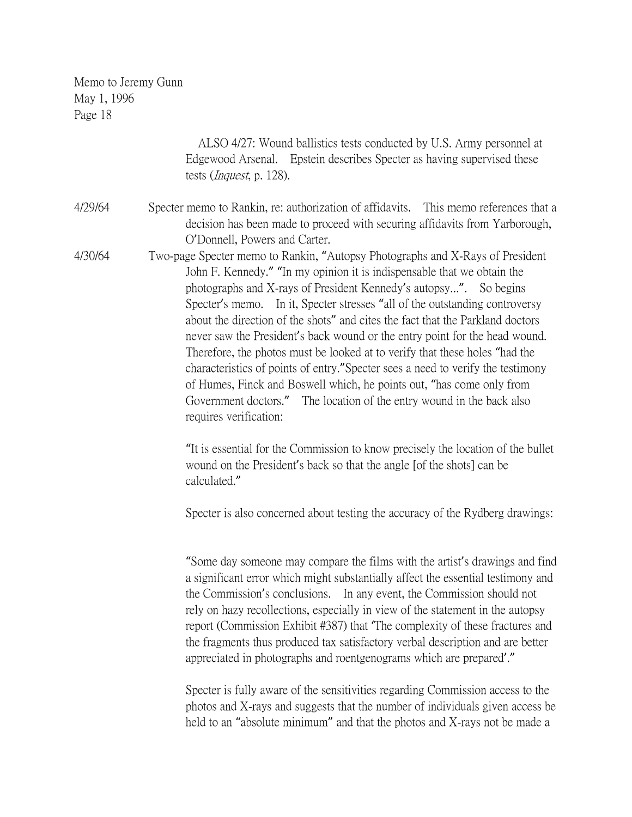ALSO 4/27: Wound ballistics tests conducted by U.S. Army personnel at Edgewood Arsenal. Epstein describes Specter as having supervised these tests (Inquest, p. 128).

- 4/29/64 Specter memo to Rankin, re: authorization of affidavits. This memo references that a decision has been made to proceed with securing affidavits from Yarborough, O'Donnell, Powers and Carter.
- 4/30/64 Two-page Specter memo to Rankin, "Autopsy Photographs and X-Rays of President John F. Kennedy." "In my opinion it is indispensable that we obtain the photographs and X-rays of President Kennedy's autopsy...". So begins Specter's memo. In it, Specter stresses "all of the outstanding controversy about the direction of the shots" and cites the fact that the Parkland doctors never saw the President's back wound or the entry point for the head wound. Therefore, the photos must be looked at to verify that these holes "had the characteristics of points of entry."Specter sees a need to verify the testimony of Humes, Finck and Boswell which, he points out, "has come only from Government doctors." The location of the entry wound in the back also requires verification:

"It is essential for the Commission to know precisely the location of the bullet wound on the President's back so that the angle [of the shots] can be calculated."

Specter is also concerned about testing the accuracy of the Rydberg drawings:

"Some day someone may compare the films with the artist's drawings and find a significant error which might substantially affect the essential testimony and the Commission's conclusions. In any event, the Commission should not rely on hazy recollections, especially in view of the statement in the autopsy report (Commission Exhibit #387) that 'The complexity of these fractures and the fragments thus produced tax satisfactory verbal description and are better appreciated in photographs and roentgenograms which are prepared'."

Specter is fully aware of the sensitivities regarding Commission access to the photos and X-rays and suggests that the number of individuals given access be held to an "absolute minimum" and that the photos and X-rays not be made a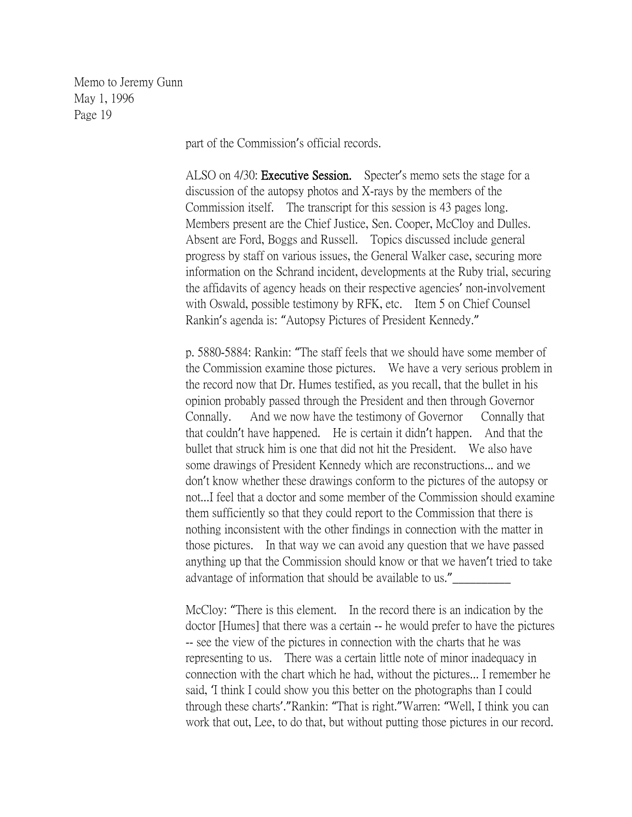part of the Commission's official records.

ALSO on 4/30: Executive Session. Specter's memo sets the stage for a discussion of the autopsy photos and X-rays by the members of the Commission itself. The transcript for this session is 43 pages long. Members present are the Chief Justice, Sen. Cooper, McCloy and Dulles. Absent are Ford, Boggs and Russell. Topics discussed include general progress by staff on various issues, the General Walker case, securing more information on the Schrand incident, developments at the Ruby trial, securing the affidavits of agency heads on their respective agencies' non-involvement with Oswald, possible testimony by RFK, etc. Item 5 on Chief Counsel Rankin's agenda is: "Autopsy Pictures of President Kennedy."

p. 5880-5884: Rankin: "The staff feels that we should have some member of the Commission examine those pictures. We have a very serious problem in the record now that Dr. Humes testified, as you recall, that the bullet in his opinion probably passed through the President and then through Governor Connally. And we now have the testimony of Governor Connally that that couldn't have happened. He is certain it didn't happen. And that the bullet that struck him is one that did not hit the President. We also have some drawings of President Kennedy which are reconstructions... and we don't know whether these drawings conform to the pictures of the autopsy or not...I feel that a doctor and some member of the Commission should examine them sufficiently so that they could report to the Commission that there is nothing inconsistent with the other findings in connection with the matter in those pictures. In that way we can avoid any question that we have passed anything up that the Commission should know or that we haven't tried to take advantage of information that should be available to us."

McCloy: "There is this element. In the record there is an indication by the doctor [Humes] that there was a certain -- he would prefer to have the pictures -- see the view of the pictures in connection with the charts that he was representing to us. There was a certain little note of minor inadequacy in connection with the chart which he had, without the pictures... I remember he said, 'I think I could show you this better on the photographs than I could through these charts'."Rankin: "That is right."Warren: "Well, I think you can work that out, Lee, to do that, but without putting those pictures in our record.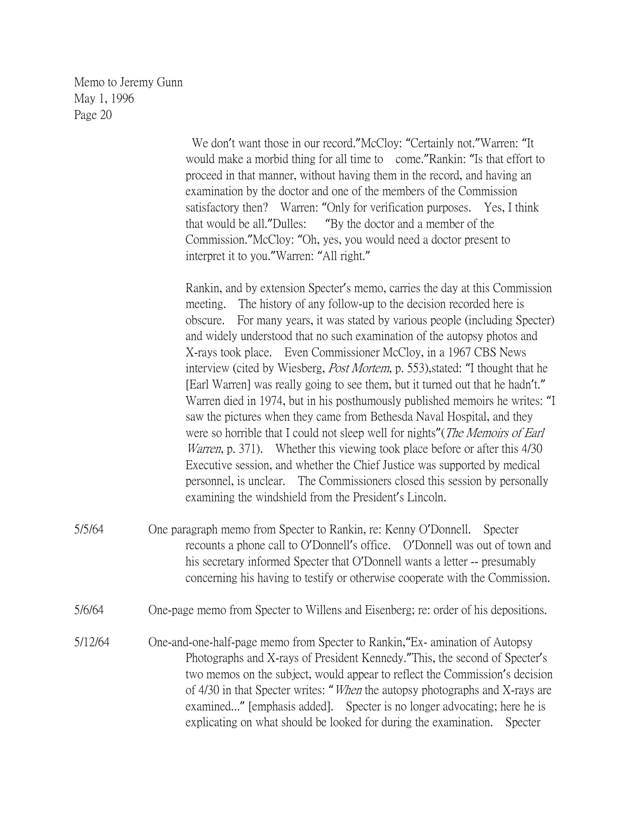> We don't want those in our record."McCloy: "Certainly not."Warren: "It would make a morbid thing for all time to come."Rankin: "Is that effort to proceed in that manner, without having them in the record, and having an examination by the doctor and one of the members of the Commission satisfactory then? Warren: "Only for verification purposes. Yes, I think that would be all."Dulles: "By the doctor and a member of the Commission."McCloy: "Oh, yes, you would need a doctor present to interpret it to you."Warren: "All right."

Rankin, and by extension Specter's memo, carries the day at this Commission meeting. The history of any follow-up to the decision recorded here is obscure. For many years, it was stated by various people (including Specter) and widely understood that no such examination of the autopsy photos and X-rays took place. Even Commissioner McCloy, in a 1967 CBS News interview (cited by Wiesberg, *Post Mortem*, p. 553), stated: "I thought that he [Earl Warren] was really going to see them, but it turned out that he hadn't." Warren died in 1974, but in his posthumously published memoirs he writes: "I saw the pictures when they came from Bethesda Naval Hospital, and they were so horrible that I could not sleep well for nights" (*The Memoirs of Earl* Warren, p. 371). Whether this viewing took place before or after this 4/30 Executive session, and whether the Chief Justice was supported by medical personnel, is unclear. The Commissioners closed this session by personally examining the windshield from the President's Lincoln.

- 5/5/64 One paragraph memo from Specter to Rankin, re: Kenny O'Donnell. Specter recounts a phone call to O'Donnell's office. O'Donnell was out of town and his secretary informed Specter that O'Donnell wants a letter -- presumably concerning his having to testify or otherwise cooperate with the Commission.
- 5/6/64 One-page memo from Specter to Willens and Eisenberg; re: order of his depositions.
- 5/12/64 One-and-one-half-page memo from Specter to Rankin,"Ex- amination of Autopsy Photographs and X-rays of President Kennedy."This, the second of Specter's two memos on the subject, would appear to reflect the Commission's decision of 4/30 in that Specter writes: "When the autopsy photographs and X-rays are examined..." [emphasis added]. Specter is no longer advocating; here he is explicating on what should be looked for during the examination. Specter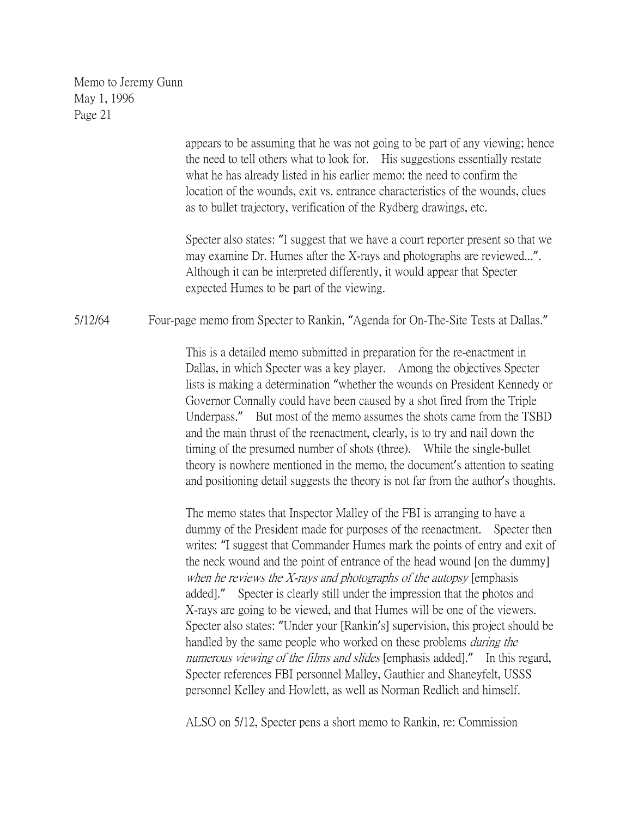> appears to be assuming that he was not going to be part of any viewing; hence the need to tell others what to look for. His suggestions essentially restate what he has already listed in his earlier memo: the need to confirm the location of the wounds, exit vs. entrance characteristics of the wounds, clues as to bullet trajectory, verification of the Rydberg drawings, etc.

> Specter also states: "I suggest that we have a court reporter present so that we may examine Dr. Humes after the X-rays and photographs are reviewed...". Although it can be interpreted differently, it would appear that Specter expected Humes to be part of the viewing.

5/12/64 Four-page memo from Specter to Rankin, "Agenda for On-The-Site Tests at Dallas."

This is a detailed memo submitted in preparation for the re-enactment in Dallas, in which Specter was a key player. Among the objectives Specter lists is making a determination "whether the wounds on President Kennedy or Governor Connally could have been caused by a shot fired from the Triple Underpass." But most of the memo assumes the shots came from the TSBD and the main thrust of the reenactment, clearly, is to try and nail down the timing of the presumed number of shots (three). While the single-bullet theory is nowhere mentioned in the memo, the document's attention to seating and positioning detail suggests the theory is not far from the author's thoughts.

The memo states that Inspector Malley of the FBI is arranging to have a dummy of the President made for purposes of the reenactment. Specter then writes: "I suggest that Commander Humes mark the points of entry and exit of the neck wound and the point of entrance of the head wound [on the dummy] when he reviews the X-rays and photographs of the autopsy [emphasis added]." Specter is clearly still under the impression that the photos and X-rays are going to be viewed, and that Humes will be one of the viewers. Specter also states: "Under your [Rankin's] supervision, this project should be handled by the same people who worked on these problems *during the* numerous viewing of the films and slides [emphasis added]." In this regard, Specter references FBI personnel Malley, Gauthier and Shaneyfelt, USSS personnel Kelley and Howlett, as well as Norman Redlich and himself.

ALSO on 5/12, Specter pens a short memo to Rankin, re: Commission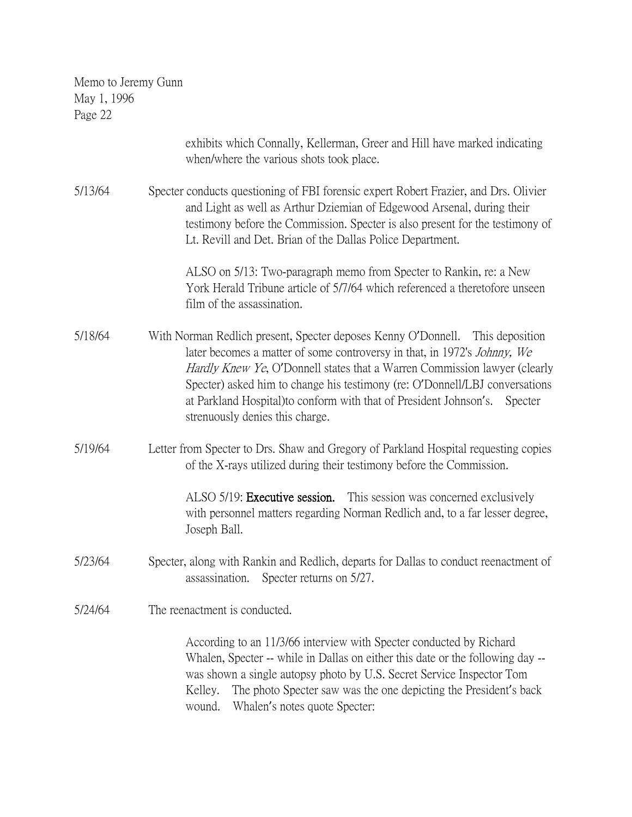| Memo to Jeremy Gunn |  |
|---------------------|--|
| May 1, 1996         |  |
| Page 22             |  |

|         | exhibits which Connally, Kellerman, Greer and Hill have marked indicating<br>when/where the various shots took place.                                                                                                                                                                                                                                                                                                                             |
|---------|---------------------------------------------------------------------------------------------------------------------------------------------------------------------------------------------------------------------------------------------------------------------------------------------------------------------------------------------------------------------------------------------------------------------------------------------------|
| 5/13/64 | Specter conducts questioning of FBI forensic expert Robert Frazier, and Drs. Olivier<br>and Light as well as Arthur Dziemian of Edgewood Arsenal, during their<br>testimony before the Commission. Specter is also present for the testimony of<br>Lt. Revill and Det. Brian of the Dallas Police Department.                                                                                                                                     |
|         | ALSO on 5/13: Two-paragraph memo from Specter to Rankin, re: a New<br>York Herald Tribune article of 5/7/64 which referenced a theretofore unseen<br>film of the assassination.                                                                                                                                                                                                                                                                   |
| 5/18/64 | With Norman Redlich present, Specter deposes Kenny O'Donnell. This deposition<br>later becomes a matter of some controversy in that, in 1972's Johnny, We<br><i>Hardly Knew Ye</i> , O'Donnell states that a Warren Commission lawyer (clearly<br>Specter) asked him to change his testimony (re: O'Donnell/LBJ conversations<br>at Parkland Hospital) to conform with that of President Johnson's.<br>Specter<br>strenuously denies this charge. |
| 5/19/64 | Letter from Specter to Drs. Shaw and Gregory of Parkland Hospital requesting copies<br>of the X-rays utilized during their testimony before the Commission.                                                                                                                                                                                                                                                                                       |
|         | ALSO 5/19: Executive session.<br>This session was concerned exclusively<br>with personnel matters regarding Norman Redlich and, to a far lesser degree,<br>Joseph Ball.                                                                                                                                                                                                                                                                           |
| 5/23/64 | Specter, along with Rankin and Redlich, departs for Dallas to conduct reenactment of<br>assassination.<br>Specter returns on 5/27.                                                                                                                                                                                                                                                                                                                |
| 5/24/64 | The reenactment is conducted.                                                                                                                                                                                                                                                                                                                                                                                                                     |
|         | According to an 11/3/66 interview with Specter conducted by Richard<br>Whalen, Specter -- while in Dallas on either this date or the following day --<br>was shown a single autopsy photo by U.S. Secret Service Inspector Tom<br>The photo Specter saw was the one depicting the President's back<br>Kelley.<br>wound.<br>Whalen's notes quote Specter:                                                                                          |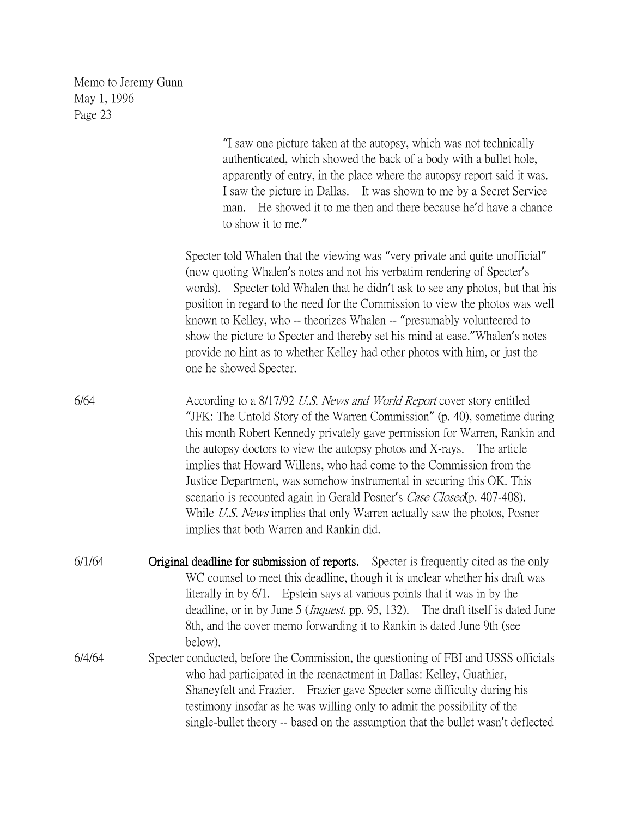| Memo to Jeremy Gunn |
|---------------------|
| May 1, 1996         |
| Page 23             |

"I saw one picture taken at the autopsy, which was not technically authenticated, which showed the back of a body with a bullet hole, apparently of entry, in the place where the autopsy report said it was. I saw the picture in Dallas. It was shown to me by a Secret Service man. He showed it to me then and there because he'd have a chance to show it to me."

Specter told Whalen that the viewing was "very private and quite unofficial" (now quoting Whalen's notes and not his verbatim rendering of Specter's words). Specter told Whalen that he didn't ask to see any photos, but that his position in regard to the need for the Commission to view the photos was well known to Kelley, who -- theorizes Whalen -- "presumably volunteered to show the picture to Specter and thereby set his mind at ease."Whalen's notes provide no hint as to whether Kelley had other photos with him, or just the one he showed Specter.

6/64 According to a 8/17/92 U.S. News and World Report cover story entitled "JFK: The Untold Story of the Warren Commission" (p. 40), sometime during this month Robert Kennedy privately gave permission for Warren, Rankin and the autopsy doctors to view the autopsy photos and X-rays. The article implies that Howard Willens, who had come to the Commission from the Justice Department, was somehow instrumental in securing this OK. This scenario is recounted again in Gerald Posner's *Case Closed*(p. 407-408). While U.S. News implies that only Warren actually saw the photos, Posner implies that both Warren and Rankin did.

- 6/1/64 Original deadline for submission of reports. Specter is frequently cited as the only WC counsel to meet this deadline, though it is unclear whether his draft was literally in by 6/1. Epstein says at various points that it was in by the deadline, or in by June 5 (*Inquest*. pp. 95, 132). The draft itself is dated June 8th, and the cover memo forwarding it to Rankin is dated June 9th (see below).
- 6/4/64 Specter conducted, before the Commission, the questioning of FBI and USSS officials who had participated in the reenactment in Dallas: Kelley, Guathier, Shaneyfelt and Frazier. Frazier gave Specter some difficulty during his testimony insofar as he was willing only to admit the possibility of the single-bullet theory -- based on the assumption that the bullet wasn't deflected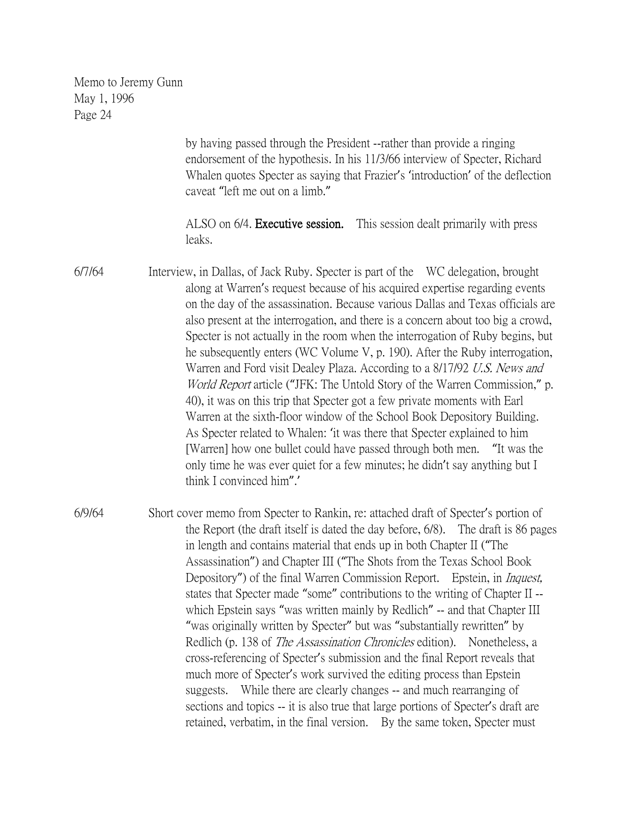> by having passed through the President --rather than provide a ringing endorsement of the hypothesis. In his 11/3/66 interview of Specter, Richard Whalen quotes Specter as saying that Frazier's 'introduction' of the deflection caveat "left me out on a limb."

ALSO on 6/4. Executive session. This session dealt primarily with press leaks.

6/7/64 Interview, in Dallas, of Jack Ruby. Specter is part of the WC delegation, brought along at Warren's request because of his acquired expertise regarding events on the day of the assassination. Because various Dallas and Texas officials are also present at the interrogation, and there is a concern about too big a crowd, Specter is not actually in the room when the interrogation of Ruby begins, but he subsequently enters (WC Volume V, p. 190). After the Ruby interrogation, Warren and Ford visit Dealey Plaza. According to a 8/17/92 U.S. News and World Report article ("JFK: The Untold Story of the Warren Commission," p. 40), it was on this trip that Specter got a few private moments with Earl Warren at the sixth-floor window of the School Book Depository Building. As Specter related to Whalen: 'it was there that Specter explained to him [Warren] how one bullet could have passed through both men. "It was the only time he was ever quiet for a few minutes; he didn't say anything but I think I convinced him".'

6/9/64 Short cover memo from Specter to Rankin, re: attached draft of Specter's portion of the Report (the draft itself is dated the day before, 6/8). The draft is 86 pages in length and contains material that ends up in both Chapter II ("The Assassination") and Chapter III ("The Shots from the Texas School Book Depository") of the final Warren Commission Report. Epstein, in *Inquest*, states that Specter made "some" contributions to the writing of Chapter II - which Epstein says "was written mainly by Redlich" -- and that Chapter III "was originally written by Specter" but was "substantially rewritten" by Redlich (p. 138 of *The Assassination Chronicles* edition). Nonetheless, a cross-referencing of Specter's submission and the final Report reveals that much more of Specter's work survived the editing process than Epstein suggests. While there are clearly changes -- and much rearranging of sections and topics -- it is also true that large portions of Specter's draft are retained, verbatim, in the final version. By the same token, Specter must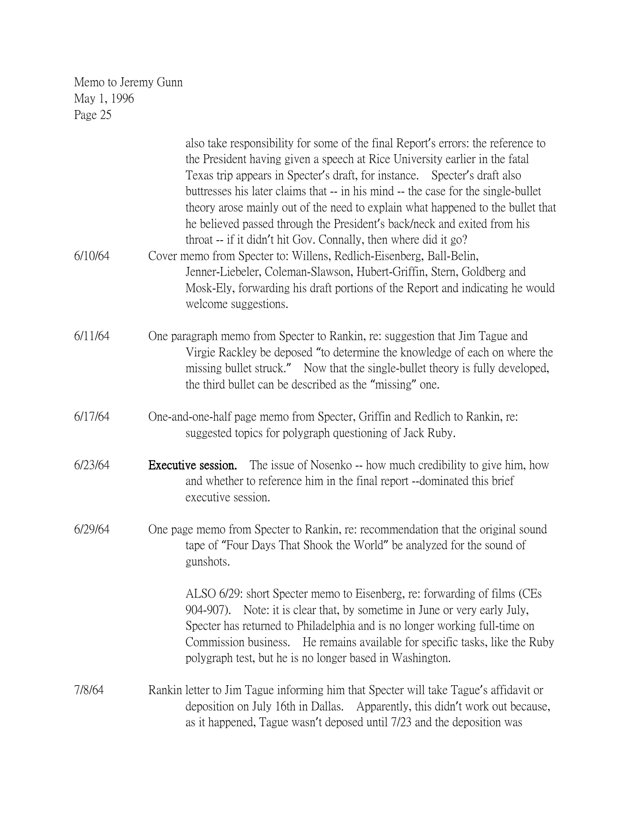| 6/10/64 | also take responsibility for some of the final Report's errors: the reference to<br>the President having given a speech at Rice University earlier in the fatal<br>Texas trip appears in Specter's draft, for instance. Specter's draft also<br>buttresses his later claims that -- in his mind -- the case for the single-bullet<br>theory arose mainly out of the need to explain what happened to the bullet that<br>he believed passed through the President's back/neck and exited from his<br>throat -- if it didn't hit Gov. Connally, then where did it go?<br>Cover memo from Specter to: Willens, Redlich-Eisenberg, Ball-Belin,<br>Jenner-Liebeler, Coleman-Slawson, Hubert-Griffin, Stern, Goldberg and<br>Mosk-Ely, forwarding his draft portions of the Report and indicating he would<br>welcome suggestions. |
|---------|------------------------------------------------------------------------------------------------------------------------------------------------------------------------------------------------------------------------------------------------------------------------------------------------------------------------------------------------------------------------------------------------------------------------------------------------------------------------------------------------------------------------------------------------------------------------------------------------------------------------------------------------------------------------------------------------------------------------------------------------------------------------------------------------------------------------------|
| 6/11/64 | One paragraph memo from Specter to Rankin, re: suggestion that Jim Tague and<br>Virgie Rackley be deposed "to determine the knowledge of each on where the<br>missing bullet struck." Now that the single-bullet theory is fully developed,<br>the third bullet can be described as the "missing" one.                                                                                                                                                                                                                                                                                                                                                                                                                                                                                                                       |
| 6/17/64 | One-and-one-half page memo from Specter, Griffin and Redlich to Rankin, re:<br>suggested topics for polygraph questioning of Jack Ruby.                                                                                                                                                                                                                                                                                                                                                                                                                                                                                                                                                                                                                                                                                      |
| 6/23/64 | The issue of Nosenko -- how much credibility to give him, how<br>Executive session.<br>and whether to reference him in the final report --dominated this brief<br>executive session.                                                                                                                                                                                                                                                                                                                                                                                                                                                                                                                                                                                                                                         |
| 6/29/64 | One page memo from Specter to Rankin, re: recommendation that the original sound<br>tape of "Four Days That Shook the World" be analyzed for the sound of<br>gunshots.                                                                                                                                                                                                                                                                                                                                                                                                                                                                                                                                                                                                                                                       |
|         | ALSO 6/29: short Specter memo to Eisenberg, re: forwarding of films (CEs<br>904-907). Note: it is clear that, by sometime in June or very early July,<br>Specter has returned to Philadelphia and is no longer working full-time on<br>Commission business. He remains available for specific tasks, like the Ruby<br>polygraph test, but he is no longer based in Washington.                                                                                                                                                                                                                                                                                                                                                                                                                                               |
| 7/8/64  | Rankin letter to Jim Tague informing him that Specter will take Tague's affidavit or<br>deposition on July 16th in Dallas. Apparently, this didn't work out because,<br>as it happened, Tague wasn't deposed until 7/23 and the deposition was                                                                                                                                                                                                                                                                                                                                                                                                                                                                                                                                                                               |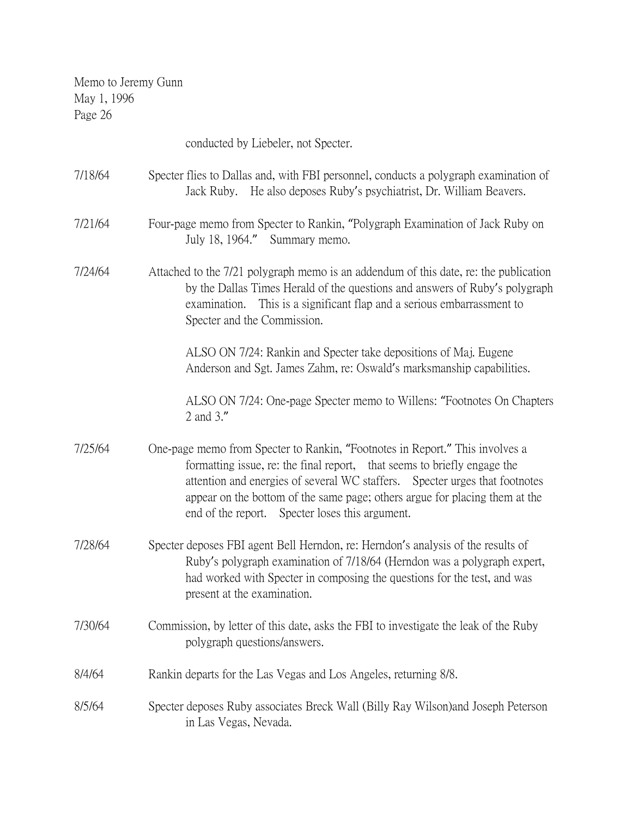| Memo to Jeremy Gunn<br>May 1, 1996<br>Page 26 |                                                                                                                                                                                                                                                                                                                                                                              |
|-----------------------------------------------|------------------------------------------------------------------------------------------------------------------------------------------------------------------------------------------------------------------------------------------------------------------------------------------------------------------------------------------------------------------------------|
|                                               | conducted by Liebeler, not Specter.                                                                                                                                                                                                                                                                                                                                          |
| 7/18/64                                       | Specter flies to Dallas and, with FBI personnel, conducts a polygraph examination of<br>Jack Ruby. He also deposes Ruby's psychiatrist, Dr. William Beavers.                                                                                                                                                                                                                 |
| 7/21/64                                       | Four-page memo from Specter to Rankin, "Polygraph Examination of Jack Ruby on<br>July 18, 1964."<br>Summary memo.                                                                                                                                                                                                                                                            |
| 7/24/64                                       | Attached to the 7/21 polygraph memo is an addendum of this date, re: the publication<br>by the Dallas Times Herald of the questions and answers of Ruby's polygraph<br>examination. This is a significant flap and a serious embarrassment to<br>Specter and the Commission.                                                                                                 |
|                                               | ALSO ON 7/24: Rankin and Specter take depositions of Maj. Eugene<br>Anderson and Sgt. James Zahm, re: Oswald's marksmanship capabilities.                                                                                                                                                                                                                                    |
|                                               | ALSO ON 7/24: One-page Specter memo to Willens: "Footnotes On Chapters"<br>2 and 3."                                                                                                                                                                                                                                                                                         |
| 7/25/64                                       | One-page memo from Specter to Rankin, "Footnotes in Report." This involves a<br>formatting issue, re: the final report, that seems to briefly engage the<br>attention and energies of several WC staffers. Specter urges that footnotes<br>appear on the bottom of the same page; others argue for placing them at the<br>end of the report.<br>Specter loses this argument. |
| 7/28/64                                       | Specter deposes FBI agent Bell Herndon, re: Herndon's analysis of the results of<br>Ruby's polygraph examination of 7/18/64 (Herndon was a polygraph expert,<br>had worked with Specter in composing the questions for the test, and was<br>present at the examination.                                                                                                      |
| 7/30/64                                       | Commission, by letter of this date, asks the FBI to investigate the leak of the Ruby<br>polygraph questions/answers.                                                                                                                                                                                                                                                         |
| 8/4/64                                        | Rankin departs for the Las Vegas and Los Angeles, returning 8/8.                                                                                                                                                                                                                                                                                                             |
| 8/5/64                                        | Specter deposes Ruby associates Breck Wall (Billy Ray Wilson) and Joseph Peterson<br>in Las Vegas, Nevada.                                                                                                                                                                                                                                                                   |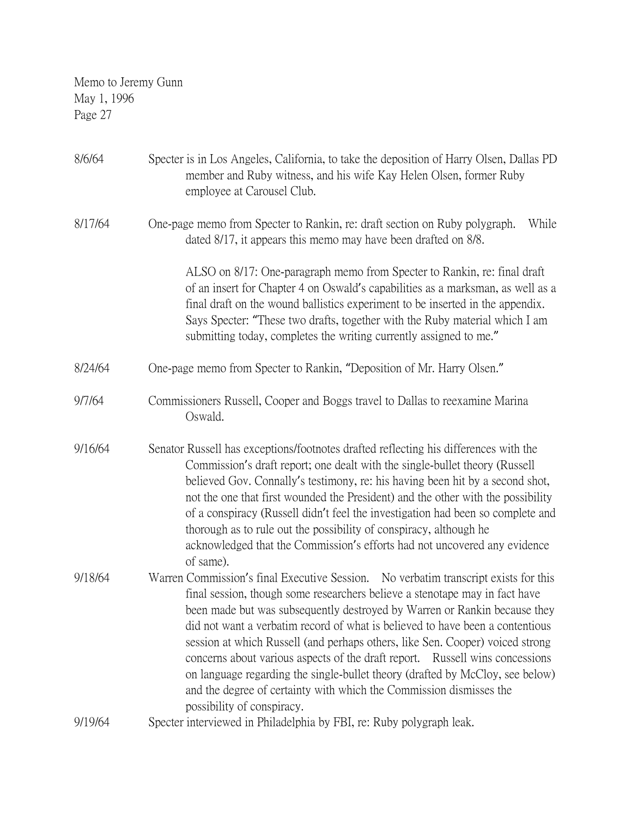| 8/6/64  | Specter is in Los Angeles, California, to take the deposition of Harry Olsen, Dallas PD<br>member and Ruby witness, and his wife Kay Helen Olsen, former Ruby<br>employee at Carousel Club.                                                                                                                                                                                                                                                                                                                                                                                                                                                                                             |
|---------|-----------------------------------------------------------------------------------------------------------------------------------------------------------------------------------------------------------------------------------------------------------------------------------------------------------------------------------------------------------------------------------------------------------------------------------------------------------------------------------------------------------------------------------------------------------------------------------------------------------------------------------------------------------------------------------------|
| 8/17/64 | While<br>One-page memo from Specter to Rankin, re: draft section on Ruby polygraph.<br>dated 8/17, it appears this memo may have been drafted on 8/8.                                                                                                                                                                                                                                                                                                                                                                                                                                                                                                                                   |
|         | ALSO on 8/17: One-paragraph memo from Specter to Rankin, re: final draft<br>of an insert for Chapter 4 on Oswald's capabilities as a marksman, as well as a<br>final draft on the wound ballistics experiment to be inserted in the appendix.<br>Says Specter: "These two drafts, together with the Ruby material which I am<br>submitting today, completes the writing currently assigned to me."                                                                                                                                                                                                                                                                                      |
| 8/24/64 | One-page memo from Specter to Rankin, "Deposition of Mr. Harry Olsen."                                                                                                                                                                                                                                                                                                                                                                                                                                                                                                                                                                                                                  |
| 9/7/64  | Commissioners Russell, Cooper and Boggs travel to Dallas to reexamine Marina<br>Oswald.                                                                                                                                                                                                                                                                                                                                                                                                                                                                                                                                                                                                 |
| 9/16/64 | Senator Russell has exceptions/footnotes drafted reflecting his differences with the<br>Commission's draft report; one dealt with the single-bullet theory (Russell<br>believed Gov. Connally's testimony, re: his having been hit by a second shot,<br>not the one that first wounded the President) and the other with the possibility<br>of a conspiracy (Russell didn't feel the investigation had been so complete and<br>thorough as to rule out the possibility of conspiracy, although he<br>acknowledged that the Commission's efforts had not uncovered any evidence<br>of same).                                                                                             |
| 9/18/64 | Warren Commission's final Executive Session. No verbatim transcript exists for this<br>final session, though some researchers believe a stenotape may in fact have<br>been made but was subsequently destroyed by Warren or Rankin because they<br>did not want a verbatim record of what is believed to have been a contentious<br>session at which Russell (and perhaps others, like Sen. Cooper) voiced strong<br>concerns about various aspects of the draft report. Russell wins concessions<br>on language regarding the single-bullet theory (drafted by McCloy, see below)<br>and the degree of certainty with which the Commission dismisses the<br>possibility of conspiracy. |
| 9/19/64 | Specter interviewed in Philadelphia by FBI, re: Ruby polygraph leak.                                                                                                                                                                                                                                                                                                                                                                                                                                                                                                                                                                                                                    |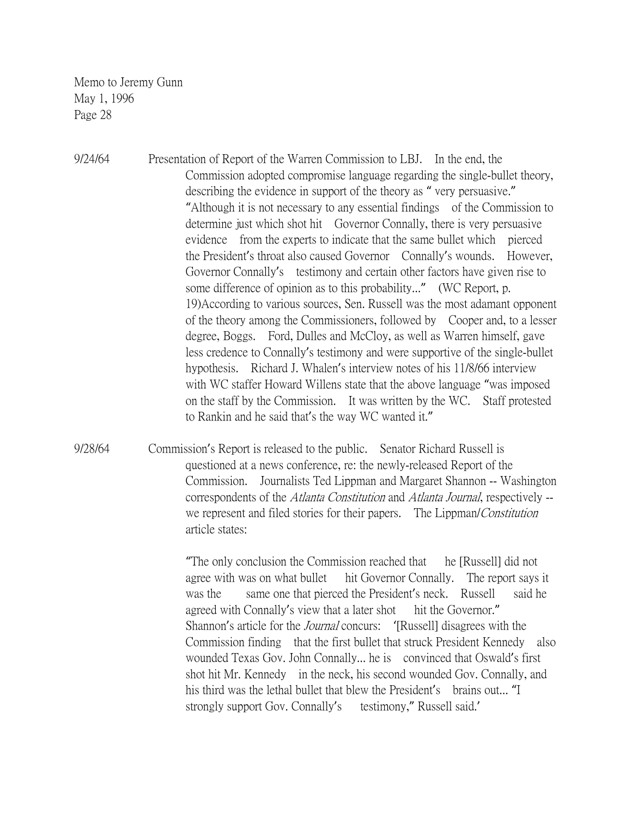9/24/64 Presentation of Report of the Warren Commission to LBJ. In the end, the Commission adopted compromise language regarding the single-bullet theory, describing the evidence in support of the theory as " very persuasive." "Although it is not necessary to any essential findings of the Commission to determine just which shot hit Governor Connally, there is very persuasive evidence from the experts to indicate that the same bullet which pierced the President's throat also caused Governor Connally's wounds. However, Governor Connally's testimony and certain other factors have given rise to some difference of opinion as to this probability..." (WC Report, p. 19)According to various sources, Sen. Russell was the most adamant opponent of the theory among the Commissioners, followed by Cooper and, to a lesser degree, Boggs. Ford, Dulles and McCloy, as well as Warren himself, gave less credence to Connally's testimony and were supportive of the single-bullet hypothesis. Richard J. Whalen's interview notes of his 11/8/66 interview with WC staffer Howard Willens state that the above language "was imposed on the staff by the Commission. It was written by the WC. Staff protested to Rankin and he said that's the way WC wanted it."

9/28/64 Commission's Report is released to the public. Senator Richard Russell is questioned at a news conference, re: the newly-released Report of the Commission. Journalists Ted Lippman and Margaret Shannon -- Washington correspondents of the Atlanta Constitution and Atlanta Journal, respectively - we represent and filed stories for their papers. The Lippman/Constitution article states:

> "The only conclusion the Commission reached that he [Russell] did not agree with was on what bullet hit Governor Connally. The report says it was the same one that pierced the President's neck. Russell said he agreed with Connally's view that a later shot hit the Governor." Shannon's article for the Journal concurs: '[Russell] disagrees with the Commission finding that the first bullet that struck President Kennedy also wounded Texas Gov. John Connally... he is convinced that Oswald's first shot hit Mr. Kennedy in the neck, his second wounded Gov. Connally, and his third was the lethal bullet that blew the President's brains out... "I strongly support Gov. Connally's testimony," Russell said.'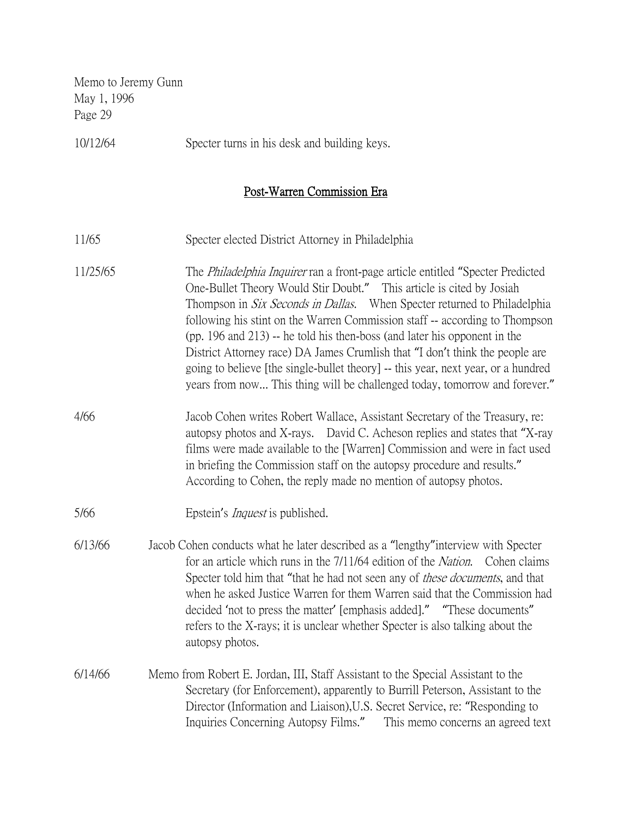10/12/64 Specter turns in his desk and building keys.

## Post-Warren Commission Era

| 11/65    | Specter elected District Attorney in Philadelphia                                                                                                                                                                                                                                                                                                                                                                                                                                                                                                                                                                                                         |
|----------|-----------------------------------------------------------------------------------------------------------------------------------------------------------------------------------------------------------------------------------------------------------------------------------------------------------------------------------------------------------------------------------------------------------------------------------------------------------------------------------------------------------------------------------------------------------------------------------------------------------------------------------------------------------|
| 11/25/65 | The <i>Philadelphia Inquirer</i> ran a front-page article entitled "Specter Predicted"<br>One-Bullet Theory Would Stir Doubt." This article is cited by Josiah<br>Thompson in Six Seconds in Dallas. When Specter returned to Philadelphia<br>following his stint on the Warren Commission staff -- according to Thompson<br>(pp. 196 and 213) -- he told his then-boss (and later his opponent in the<br>District Attorney race) DA James Crumlish that "I don't think the people are<br>going to believe [the single-bullet theory] -- this year, next year, or a hundred<br>years from now This thing will be challenged today, tomorrow and forever." |
| 4/66     | Jacob Cohen writes Robert Wallace, Assistant Secretary of the Treasury, re:<br>autopsy photos and X-rays. David C. Acheson replies and states that "X-ray<br>films were made available to the [Warren] Commission and were in fact used<br>in briefing the Commission staff on the autopsy procedure and results."<br>According to Cohen, the reply made no mention of autopsy photos.                                                                                                                                                                                                                                                                    |
| 5/66     | Epstein's <i>Inquest</i> is published.                                                                                                                                                                                                                                                                                                                                                                                                                                                                                                                                                                                                                    |
| 6/13/66  | Jacob Cohen conducts what he later described as a "lengthy" interview with Specter<br>for an article which runs in the 7/11/64 edition of the <i>Nation</i> . Cohen claims<br>Specter told him that "that he had not seen any of <i>these documents</i> , and that<br>when he asked Justice Warren for them Warren said that the Commission had<br>decided 'not to press the matter' [emphasis added]." "These documents"<br>refers to the X-rays; it is unclear whether Specter is also talking about the<br>autopsy photos.                                                                                                                             |
| 6/14/66  | Memo from Robert E. Jordan, III, Staff Assistant to the Special Assistant to the<br>Secretary (for Enforcement), apparently to Burrill Peterson, Assistant to the<br>Director (Information and Liaison), U.S. Secret Service, re: "Responding to<br>Inquiries Concerning Autopsy Films."<br>This memo concerns an agreed text                                                                                                                                                                                                                                                                                                                             |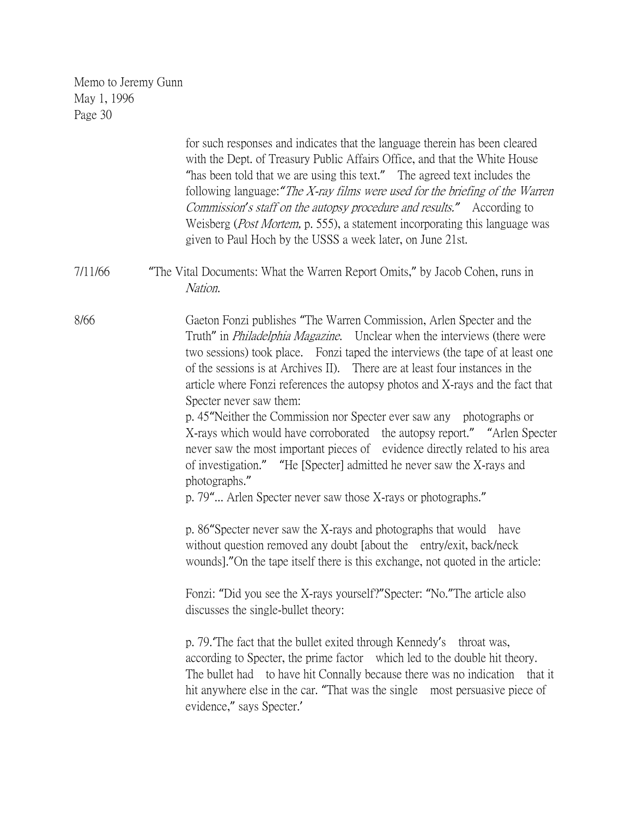|         | for such responses and indicates that the language therein has been cleared<br>with the Dept. of Treasury Public Affairs Office, and that the White House<br>"has been told that we are using this text." The agreed text includes the<br>following language: "The X-ray films were used for the briefing of the Warren<br><i>Commission's staff on the autopsy procedure and results.</i> " According to<br>Weisberg ( <i>Post Mortem</i> , p. 555), a statement incorporating this language was<br>given to Paul Hoch by the USSS a week later, on June 21st.                                                                                                                                                                                                                                                                                                                                                                                                                                                                                                                                                                                                                                                                                                                                                                                    |
|---------|----------------------------------------------------------------------------------------------------------------------------------------------------------------------------------------------------------------------------------------------------------------------------------------------------------------------------------------------------------------------------------------------------------------------------------------------------------------------------------------------------------------------------------------------------------------------------------------------------------------------------------------------------------------------------------------------------------------------------------------------------------------------------------------------------------------------------------------------------------------------------------------------------------------------------------------------------------------------------------------------------------------------------------------------------------------------------------------------------------------------------------------------------------------------------------------------------------------------------------------------------------------------------------------------------------------------------------------------------|
| 7/11/66 | "The Vital Documents: What the Warren Report Omits," by Jacob Cohen, runs in<br>Nation.                                                                                                                                                                                                                                                                                                                                                                                                                                                                                                                                                                                                                                                                                                                                                                                                                                                                                                                                                                                                                                                                                                                                                                                                                                                            |
| 8/66    | Gaeton Fonzi publishes "The Warren Commission, Arlen Specter and the<br>Truth" in <i>Philadelphia Magazine</i> . Unclear when the interviews (there were<br>two sessions) took place. Fonzi taped the interviews (the tape of at least one<br>of the sessions is at Archives II). There are at least four instances in the<br>article where Fonzi references the autopsy photos and X-rays and the fact that<br>Specter never saw them:<br>p. 45"Neither the Commission nor Specter ever saw any photographs or<br>X-rays which would have corroborated the autopsy report." "Arlen Specter"<br>never saw the most important pieces of evidence directly related to his area<br>of investigation." "He [Specter] admitted he never saw the X-rays and<br>photographs."<br>p. 79" Arlen Specter never saw those X-rays or photographs."<br>p. 86"Specter never saw the X-rays and photographs that would<br>have<br>without question removed any doubt [about the entry/exit, back/neck<br>wounds]."On the tape itself there is this exchange, not quoted in the article:<br>Fonzi: "Did you see the X-rays yourself?" Specter: "No." The article also<br>discusses the single-bullet theory:<br>p. 79. The fact that the bullet exited through Kennedy's throat was,<br>according to Specter, the prime factor which led to the double hit theory. |
|         | The bullet had to have hit Connally because there was no indication that it<br>hit anywhere else in the car. "That was the single most persuasive piece of<br>evidence," says Specter.'                                                                                                                                                                                                                                                                                                                                                                                                                                                                                                                                                                                                                                                                                                                                                                                                                                                                                                                                                                                                                                                                                                                                                            |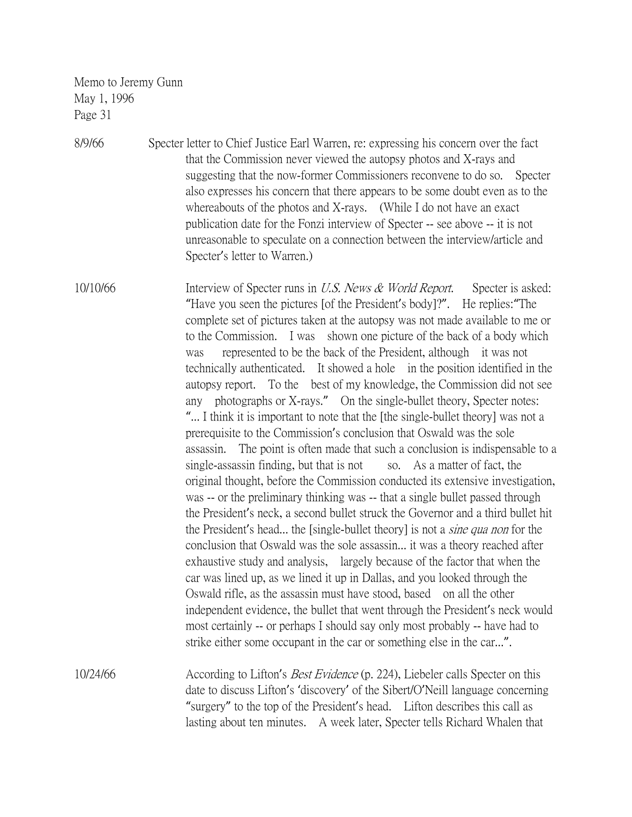8/9/66 Specter letter to Chief Justice Earl Warren, re: expressing his concern over the fact that the Commission never viewed the autopsy photos and X-rays and suggesting that the now-former Commissioners reconvene to do so. Specter also expresses his concern that there appears to be some doubt even as to the whereabouts of the photos and X-rays. (While I do not have an exact publication date for the Fonzi interview of Specter -- see above -- it is not unreasonable to speculate on a connection between the interview/article and Specter's letter to Warren.)

10/10/66 Interview of Specter runs in U.S. News & World Report. Specter is asked: "Have you seen the pictures [of the President's body]?". He replies:"The complete set of pictures taken at the autopsy was not made available to me or to the Commission. I was shown one picture of the back of a body which was represented to be the back of the President, although it was not technically authenticated. It showed a hole in the position identified in the autopsy report. To the best of my knowledge, the Commission did not see any photographs or X-rays." On the single-bullet theory, Specter notes: "... I think it is important to note that the [the single-bullet theory] was not a prerequisite to the Commission's conclusion that Oswald was the sole assassin. The point is often made that such a conclusion is indispensable to a single-assassin finding, but that is not so. As a matter of fact, the original thought, before the Commission conducted its extensive investigation, was -- or the preliminary thinking was -- that a single bullet passed through the President's neck, a second bullet struck the Governor and a third bullet hit the President's head... the [single-bullet theory] is not a *sine qua non* for the conclusion that Oswald was the sole assassin... it was a theory reached after exhaustive study and analysis, largely because of the factor that when the car was lined up, as we lined it up in Dallas, and you looked through the Oswald rifle, as the assassin must have stood, based on all the other independent evidence, the bullet that went through the President's neck would most certainly -- or perhaps I should say only most probably -- have had to strike either some occupant in the car or something else in the car...".

10/24/66 According to Lifton's *Best Evidence* (p. 224), Liebeler calls Specter on this date to discuss Lifton's 'discovery' of the Sibert/O'Neill language concerning "surgery" to the top of the President's head. Lifton describes this call as lasting about ten minutes. A week later, Specter tells Richard Whalen that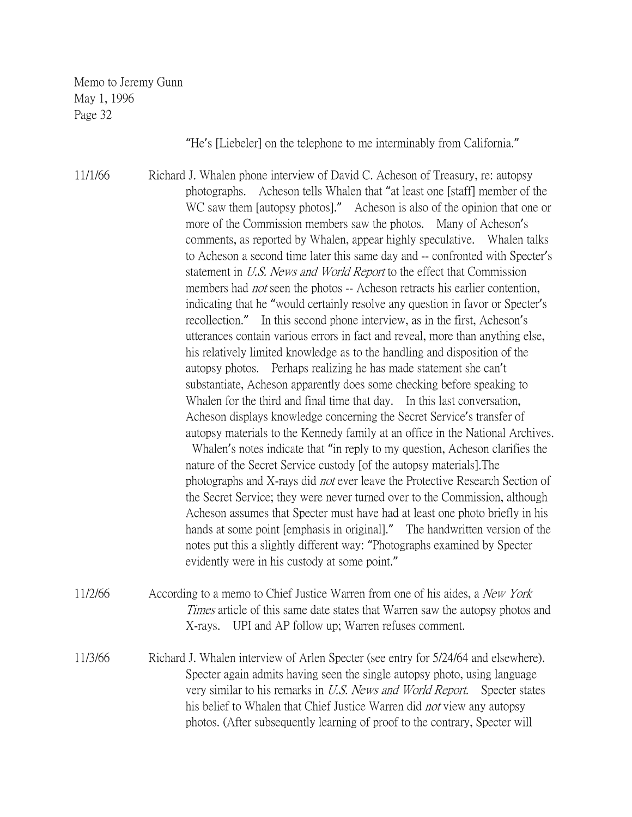"He's [Liebeler] on the telephone to me interminably from California."

11/1/66 Richard J. Whalen phone interview of David C. Acheson of Treasury, re: autopsy photographs. Acheson tells Whalen that "at least one [staff] member of the WC saw them [autopsy photos]." Acheson is also of the opinion that one or more of the Commission members saw the photos. Many of Acheson's comments, as reported by Whalen, appear highly speculative. Whalen talks to Acheson a second time later this same day and -- confronted with Specter's statement in U.S. News and World Report to the effect that Commission members had *not* seen the photos -- Acheson retracts his earlier contention, indicating that he "would certainly resolve any question in favor or Specter's recollection." In this second phone interview, as in the first, Acheson's utterances contain various errors in fact and reveal, more than anything else, his relatively limited knowledge as to the handling and disposition of the autopsy photos. Perhaps realizing he has made statement she can't substantiate, Acheson apparently does some checking before speaking to Whalen for the third and final time that day. In this last conversation, Acheson displays knowledge concerning the Secret Service's transfer of autopsy materials to the Kennedy family at an office in the National Archives. Whalen's notes indicate that "in reply to my question, Acheson clarifies the nature of the Secret Service custody [of the autopsy materials].The photographs and X-rays did not ever leave the Protective Research Section of the Secret Service; they were never turned over to the Commission, although Acheson assumes that Specter must have had at least one photo briefly in his hands at some point [emphasis in original]." The handwritten version of the notes put this a slightly different way: "Photographs examined by Specter evidently were in his custody at some point."

- 11/2/66 According to a memo to Chief Justice Warren from one of his aides, a *New York* Times article of this same date states that Warren saw the autopsy photos and X-rays. UPI and AP follow up; Warren refuses comment.
- 11/3/66 Richard J. Whalen interview of Arlen Specter (see entry for 5/24/64 and elsewhere). Specter again admits having seen the single autopsy photo, using language very similar to his remarks in U.S. News and World Report. Specter states his belief to Whalen that Chief Justice Warren did *not* view any autopsy photos. (After subsequently learning of proof to the contrary, Specter will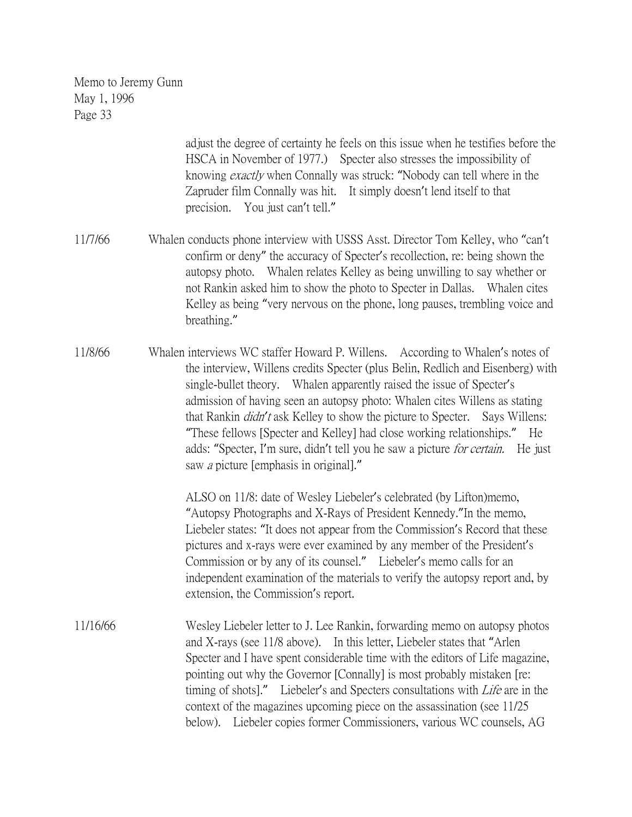|          | adjust the degree of certainty he feels on this issue when he testifies before the<br>HSCA in November of 1977.) Specter also stresses the impossibility of<br>knowing <i>exactly</i> when Connally was struck: "Nobody can tell where in the<br>Zapruder film Connally was hit.<br>It simply doesn't lend itself to that<br>precision. You just can't tell."                                                                                                                                                                                                                                                                     |
|----------|-----------------------------------------------------------------------------------------------------------------------------------------------------------------------------------------------------------------------------------------------------------------------------------------------------------------------------------------------------------------------------------------------------------------------------------------------------------------------------------------------------------------------------------------------------------------------------------------------------------------------------------|
| 11/7/66  | Whalen conducts phone interview with USSS Asst. Director Tom Kelley, who "can't<br>confirm or deny" the accuracy of Specter's recollection, re: being shown the<br>autopsy photo. Whalen relates Kelley as being unwilling to say whether or<br>not Rankin asked him to show the photo to Specter in Dallas. Whalen cites<br>Kelley as being "very nervous on the phone, long pauses, trembling voice and<br>breathing."                                                                                                                                                                                                          |
| 11/8/66  | Whalen interviews WC staffer Howard P. Willens. According to Whalen's notes of<br>the interview, Willens credits Specter (plus Belin, Redlich and Eisenberg) with<br>single-bullet theory. Whalen apparently raised the issue of Specter's<br>admission of having seen an autopsy photo: Whalen cites Willens as stating<br>that Rankin <i>didn't</i> ask Kelley to show the picture to Specter. Says Willens:<br>"These fellows [Specter and Kelley] had close working relationships."<br>He<br>adds: "Specter, I'm sure, didn't tell you he saw a picture for certain. He just<br>saw <i>a</i> picture [emphasis in original]." |
|          | ALSO on 11/8: date of Wesley Liebeler's celebrated (by Lifton) memo,<br>"Autopsy Photographs and X-Rays of President Kennedy." In the memo,<br>Liebeler states: "It does not appear from the Commission's Record that these<br>pictures and x-rays were ever examined by any member of the President's<br>Commission or by any of its counsel." Liebeler's memo calls for an<br>independent examination of the materials to verify the autopsy report and, by<br>extension, the Commission's report.                                                                                                                              |
| 11/16/66 | Wesley Liebeler letter to J. Lee Rankin, forwarding memo on autopsy photos<br>and X-rays (see 11/8 above). In this letter, Liebeler states that "Arlen"<br>Specter and I have spent considerable time with the editors of Life magazine,<br>pointing out why the Governor [Connally] is most probably mistaken [re:<br>timing of shots]." Liebeler's and Specters consultations with Life are in the<br>context of the magazines upcoming piece on the assassination (see 11/25)<br>below). Liebeler copies former Commissioners, various WC counsels, AG                                                                         |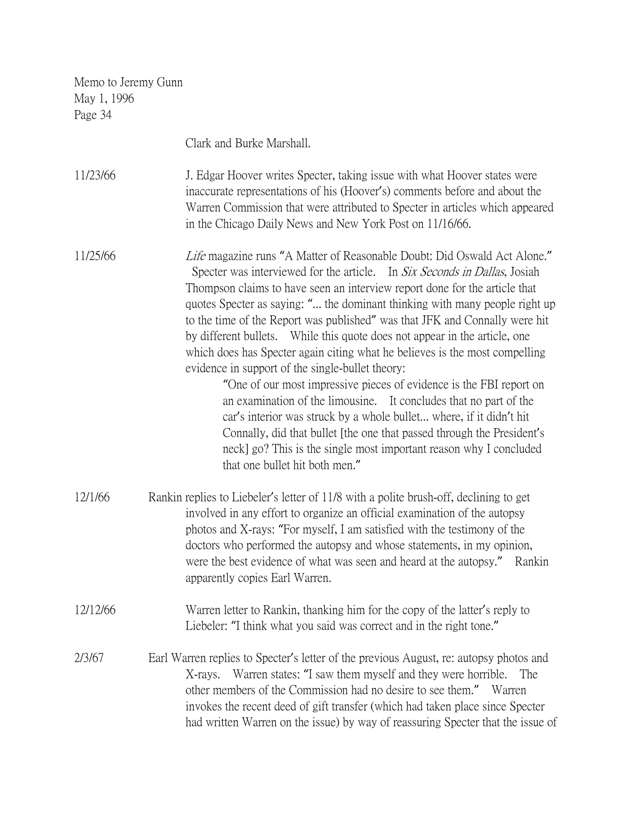| Memo to Jeremy Gunn<br>May 1, 1996<br>Page 34 |                                                                                                                                                                                                                                                                                                                                                                                                                                                                                                                                                                                                                                                                                                                                                                                                                                                                                                                                                                                                                         |
|-----------------------------------------------|-------------------------------------------------------------------------------------------------------------------------------------------------------------------------------------------------------------------------------------------------------------------------------------------------------------------------------------------------------------------------------------------------------------------------------------------------------------------------------------------------------------------------------------------------------------------------------------------------------------------------------------------------------------------------------------------------------------------------------------------------------------------------------------------------------------------------------------------------------------------------------------------------------------------------------------------------------------------------------------------------------------------------|
|                                               | Clark and Burke Marshall.                                                                                                                                                                                                                                                                                                                                                                                                                                                                                                                                                                                                                                                                                                                                                                                                                                                                                                                                                                                               |
| 11/23/66                                      | J. Edgar Hoover writes Specter, taking issue with what Hoover states were<br>inaccurate representations of his (Hoover's) comments before and about the<br>Warren Commission that were attributed to Specter in articles which appeared<br>in the Chicago Daily News and New York Post on 11/16/66.                                                                                                                                                                                                                                                                                                                                                                                                                                                                                                                                                                                                                                                                                                                     |
| 11/25/66                                      | Life magazine runs "A Matter of Reasonable Doubt: Did Oswald Act Alone."<br>Specter was interviewed for the article. In Six Seconds in Dallas, Josiah<br>Thompson claims to have seen an interview report done for the article that<br>quotes Specter as saying: " the dominant thinking with many people right up<br>to the time of the Report was published" was that JFK and Connally were hit<br>by different bullets. While this quote does not appear in the article, one<br>which does has Specter again citing what he believes is the most compelling<br>evidence in support of the single-bullet theory:<br>"One of our most impressive pieces of evidence is the FBI report on<br>an examination of the limousine. It concludes that no part of the<br>car's interior was struck by a whole bullet where, if it didn't hit<br>Connally, did that bullet [the one that passed through the President's<br>neck] go? This is the single most important reason why I concluded<br>that one bullet hit both men." |
| 12/1/66                                       | Rankin replies to Liebeler's letter of 11/8 with a polite brush-off, declining to get<br>involved in any effort to organize an official examination of the autopsy<br>photos and X-rays: "For myself, I am satisfied with the testimony of the<br>doctors who performed the autopsy and whose statements, in my opinion,<br>were the best evidence of what was seen and heard at the autopsy."<br>Rankin<br>apparently copies Earl Warren.                                                                                                                                                                                                                                                                                                                                                                                                                                                                                                                                                                              |
| 12/12/66                                      | Warren letter to Rankin, thanking him for the copy of the latter's reply to<br>Liebeler: "I think what you said was correct and in the right tone."                                                                                                                                                                                                                                                                                                                                                                                                                                                                                                                                                                                                                                                                                                                                                                                                                                                                     |
| 2/3/67                                        | Earl Warren replies to Specter's letter of the previous August, re: autopsy photos and<br>Warren states: "I saw them myself and they were horrible.<br>X-rays.<br>The<br>other members of the Commission had no desire to see them." Warren<br>invokes the recent deed of gift transfer (which had taken place since Specter<br>had written Warren on the issue) by way of reassuring Specter that the issue of                                                                                                                                                                                                                                                                                                                                                                                                                                                                                                                                                                                                         |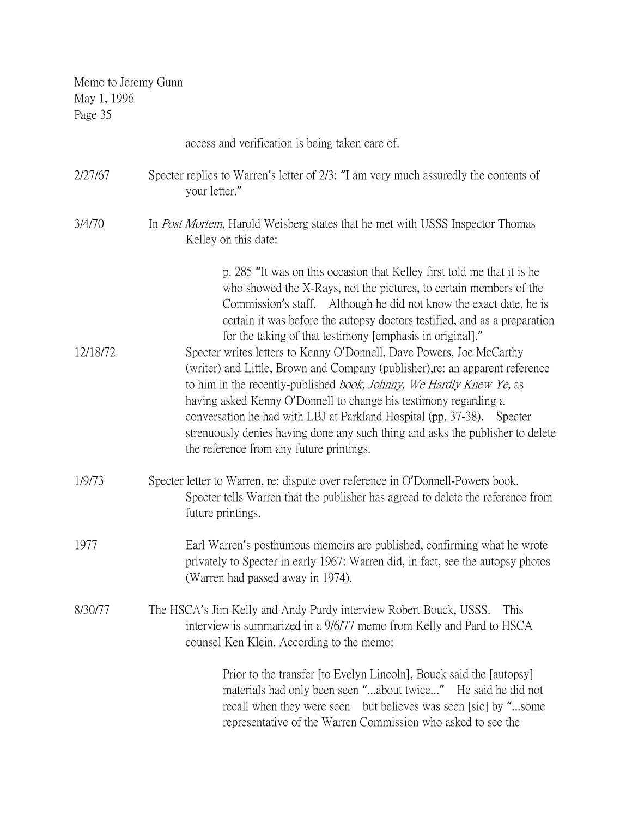| Memo to Jeremy Gunn<br>May 1, 1996<br>Page 35 |                                                                                                                                                                                                                                                                                                                                                                                                                                                                                                                                                                                                                                                                                                                                                                                                                                                                                                    |
|-----------------------------------------------|----------------------------------------------------------------------------------------------------------------------------------------------------------------------------------------------------------------------------------------------------------------------------------------------------------------------------------------------------------------------------------------------------------------------------------------------------------------------------------------------------------------------------------------------------------------------------------------------------------------------------------------------------------------------------------------------------------------------------------------------------------------------------------------------------------------------------------------------------------------------------------------------------|
|                                               | access and verification is being taken care of.                                                                                                                                                                                                                                                                                                                                                                                                                                                                                                                                                                                                                                                                                                                                                                                                                                                    |
| 2/27/67                                       | Specter replies to Warren's letter of 2/3: "I am very much assuredly the contents of<br>your letter."                                                                                                                                                                                                                                                                                                                                                                                                                                                                                                                                                                                                                                                                                                                                                                                              |
| 3/4/70                                        | In <i>Post Mortem</i> , Harold Weisberg states that he met with USSS Inspector Thomas<br>Kelley on this date:                                                                                                                                                                                                                                                                                                                                                                                                                                                                                                                                                                                                                                                                                                                                                                                      |
| 12/18/72                                      | p. 285 "It was on this occasion that Kelley first told me that it is he<br>who showed the X-Rays, not the pictures, to certain members of the<br>Commission's staff. Although he did not know the exact date, he is<br>certain it was before the autopsy doctors testified, and as a preparation<br>for the taking of that testimony [emphasis in original]."<br>Specter writes letters to Kenny O'Donnell, Dave Powers, Joe McCarthy<br>(writer) and Little, Brown and Company (publisher), re: an apparent reference<br>to him in the recently-published <i>book</i> , <i>Johnny</i> , <i>We Hardly Knew Ye</i> , as<br>having asked Kenny O'Donnell to change his testimony regarding a<br>conversation he had with LBJ at Parkland Hospital (pp. 37-38). Specter<br>strenuously denies having done any such thing and asks the publisher to delete<br>the reference from any future printings. |
| 1/9/73                                        | Specter letter to Warren, re: dispute over reference in O'Donnell-Powers book.<br>Specter tells Warren that the publisher has agreed to delete the reference from<br>future printings.                                                                                                                                                                                                                                                                                                                                                                                                                                                                                                                                                                                                                                                                                                             |
| 1977                                          | Earl Warren's posthumous memoirs are published, confirming what he wrote<br>privately to Specter in early 1967: Warren did, in fact, see the autopsy photos<br>(Warren had passed away in 1974).                                                                                                                                                                                                                                                                                                                                                                                                                                                                                                                                                                                                                                                                                                   |
| 8/30/77                                       | The HSCA's Jim Kelly and Andy Purdy interview Robert Bouck, USSS.<br>This<br>interview is summarized in a 9/6/77 memo from Kelly and Pard to HSCA<br>counsel Ken Klein. According to the memo:                                                                                                                                                                                                                                                                                                                                                                                                                                                                                                                                                                                                                                                                                                     |
|                                               | Prior to the transfer [to Evelyn Lincoln], Bouck said the [autopsy]<br>materials had only been seen "about twice" He said he did not<br>recall when they were seen but believes was seen [sic] by "some<br>representative of the Warren Commission who asked to see the                                                                                                                                                                                                                                                                                                                                                                                                                                                                                                                                                                                                                            |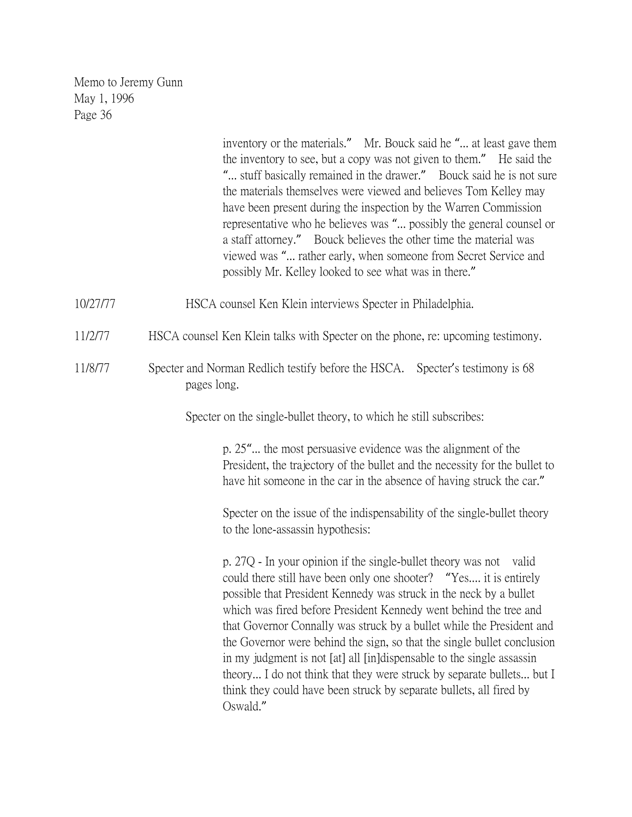> inventory or the materials." Mr. Bouck said he "... at least gave them the inventory to see, but a copy was not given to them." He said the "... stuff basically remained in the drawer." Bouck said he is not sure the materials themselves were viewed and believes Tom Kelley may have been present during the inspection by the Warren Commission representative who he believes was "... possibly the general counsel or a staff attorney." Bouck believes the other time the material was viewed was "... rather early, when someone from Secret Service and possibly Mr. Kelley looked to see what was in there."

- 10/27/77 HSCA counsel Ken Klein interviews Specter in Philadelphia.
- 11/2/77 HSCA counsel Ken Klein talks with Specter on the phone, re: upcoming testimony.
- 11/8/77 Specter and Norman Redlich testify before the HSCA. Specter's testimony is 68 pages long.

Specter on the single-bullet theory, to which he still subscribes:

p. 25"... the most persuasive evidence was the alignment of the President, the trajectory of the bullet and the necessity for the bullet to have hit someone in the car in the absence of having struck the car."

Specter on the issue of the indispensability of the single-bullet theory to the lone-assassin hypothesis:

p. 27Q - In your opinion if the single-bullet theory was not valid could there still have been only one shooter? "Yes.... it is entirely possible that President Kennedy was struck in the neck by a bullet which was fired before President Kennedy went behind the tree and that Governor Connally was struck by a bullet while the President and the Governor were behind the sign, so that the single bullet conclusion in my judgment is not [at] all [in]dispensable to the single assassin theory... I do not think that they were struck by separate bullets... but I think they could have been struck by separate bullets, all fired by Oswald."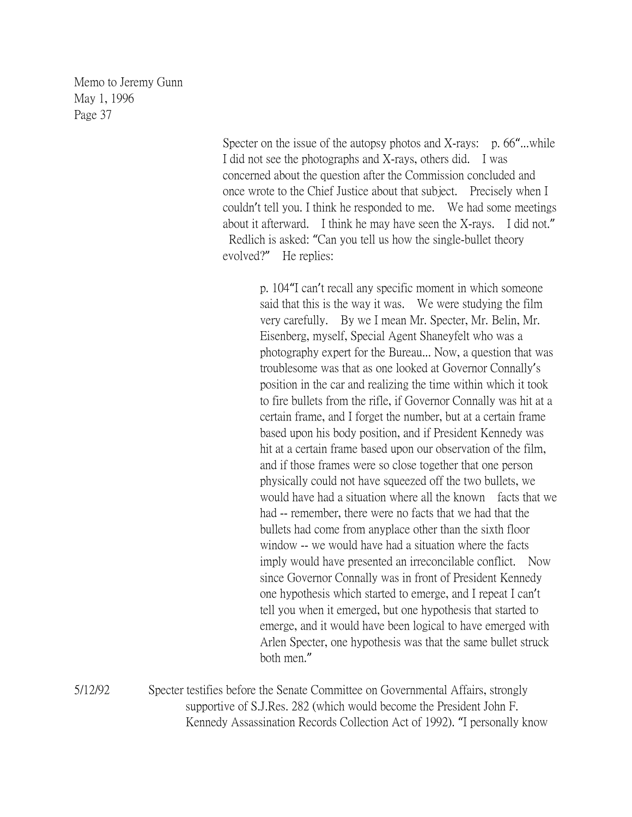> Specter on the issue of the autopsy photos and X-rays: p. 66"...while I did not see the photographs and X-rays, others did. I was concerned about the question after the Commission concluded and once wrote to the Chief Justice about that subject. Precisely when I couldn't tell you. I think he responded to me. We had some meetings about it afterward. I think he may have seen the X-rays. I did not." Redlich is asked: "Can you tell us how the single-bullet theory evolved?" He replies:

> > p. 104"I can't recall any specific moment in which someone said that this is the way it was. We were studying the film very carefully. By we I mean Mr. Specter, Mr. Belin, Mr. Eisenberg, myself, Special Agent Shaneyfelt who was a photography expert for the Bureau... Now, a question that was troublesome was that as one looked at Governor Connally's position in the car and realizing the time within which it took to fire bullets from the rifle, if Governor Connally was hit at a certain frame, and I forget the number, but at a certain frame based upon his body position, and if President Kennedy was hit at a certain frame based upon our observation of the film, and if those frames were so close together that one person physically could not have squeezed off the two bullets, we would have had a situation where all the known facts that we had -- remember, there were no facts that we had that the bullets had come from anyplace other than the sixth floor window -- we would have had a situation where the facts imply would have presented an irreconcilable conflict. Now since Governor Connally was in front of President Kennedy one hypothesis which started to emerge, and I repeat I can't tell you when it emerged, but one hypothesis that started to emerge, and it would have been logical to have emerged with Arlen Specter, one hypothesis was that the same bullet struck both men."

5/12/92 Specter testifies before the Senate Committee on Governmental Affairs, strongly supportive of S.J.Res. 282 (which would become the President John F. Kennedy Assassination Records Collection Act of 1992). "I personally know